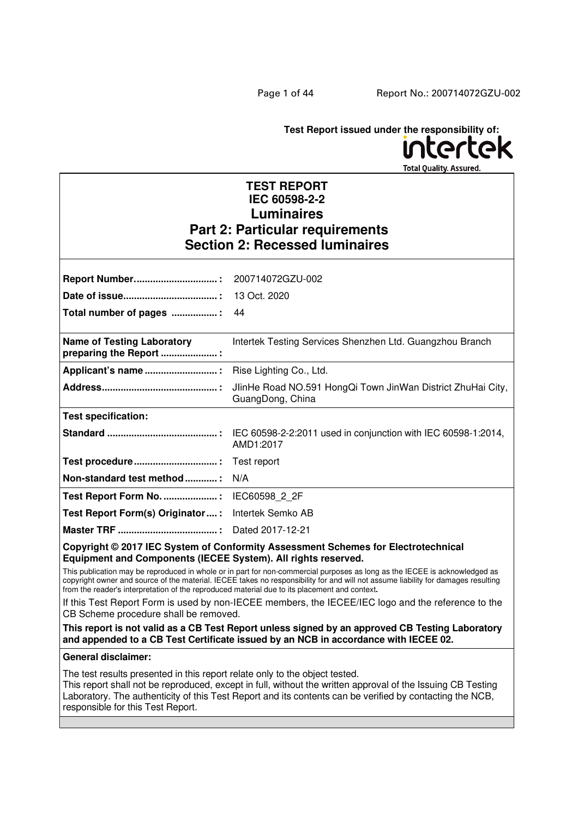# Test Report issued under the responsibility of:<br> **Interfect**

**Total Quality. Assured.** 

### **TEST REPORT IEC 60598-2-2 Luminaires Part 2: Particular requirements Section 2: Recessed luminaires**

|                                                                                               | 200714072GZU-002                                                                                                                                                                                                                                                |
|-----------------------------------------------------------------------------------------------|-----------------------------------------------------------------------------------------------------------------------------------------------------------------------------------------------------------------------------------------------------------------|
|                                                                                               | 13 Oct. 2020                                                                                                                                                                                                                                                    |
| Total number of pages :                                                                       | 44                                                                                                                                                                                                                                                              |
|                                                                                               |                                                                                                                                                                                                                                                                 |
| <b>Name of Testing Laboratory</b><br>preparing the Report  :                                  | Intertek Testing Services Shenzhen Ltd. Guangzhou Branch                                                                                                                                                                                                        |
| Applicant's name                                                                              | Rise Lighting Co., Ltd.                                                                                                                                                                                                                                         |
|                                                                                               | JlinHe Road NO.591 HongQi Town JinWan District ZhuHai City,<br>GuangDong, China                                                                                                                                                                                 |
| <b>Test specification:</b>                                                                    |                                                                                                                                                                                                                                                                 |
|                                                                                               | AMD1:2017                                                                                                                                                                                                                                                       |
| Test procedure :                                                                              | Test report                                                                                                                                                                                                                                                     |
|                                                                                               |                                                                                                                                                                                                                                                                 |
| Non-standard test method:                                                                     | N/A                                                                                                                                                                                                                                                             |
| Test Report Form No.  : IEC60598_2_2F                                                         |                                                                                                                                                                                                                                                                 |
| Test Report Form(s) Originator:                                                               | Intertek Semko AB                                                                                                                                                                                                                                               |
|                                                                                               | Dated 2017-12-21                                                                                                                                                                                                                                                |
| Equipment and Components (IECEE System). All rights reserved.                                 | Copyright © 2017 IEC System of Conformity Assessment Schemes for Electrotechnical                                                                                                                                                                               |
| from the reader's interpretation of the reproduced material due to its placement and context. | This publication may be reproduced in whole or in part for non-commercial purposes as long as the IECEE is acknowledged as<br>copyright owner and source of the material. IECEE takes no responsibility for and will not assume liability for damages resulting |
| CB Scheme procedure shall be removed.                                                         | If this Test Report Form is used by non-IECEE members, the IECEE/IEC logo and the reference to the                                                                                                                                                              |
|                                                                                               | This report is not valid as a CB Test Report unless signed by an approved CB Testing Laboratory<br>and appended to a CB Test Certificate issued by an NCB in accordance with IECEE 02.                                                                          |
| <b>General disclaimer:</b>                                                                    |                                                                                                                                                                                                                                                                 |

This report shall not be reproduced, except in full, without the written approval of the Issuing CB Testing Laboratory. The authenticity of this Test Report and its contents can be verified by contacting the NCB, responsible for this Test Report.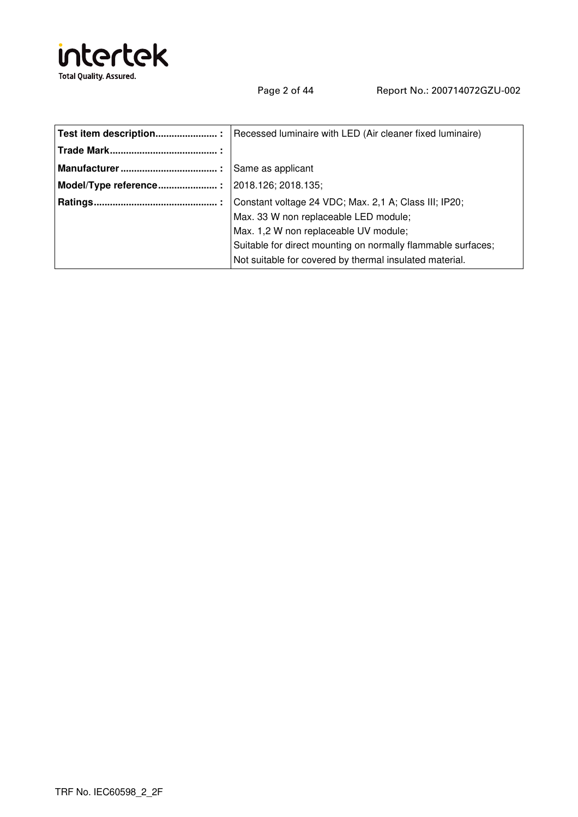

| Test item description : | Recessed luminaire with LED (Air cleaner fixed luminaire)    |
|-------------------------|--------------------------------------------------------------|
|                         |                                                              |
|                         | Same as applicant                                            |
| Model/Type reference :  | 2018.126; 2018.135;                                          |
|                         | Constant voltage 24 VDC; Max. 2,1 A; Class III; IP20;        |
|                         | Max. 33 W non replaceable LED module;                        |
|                         | Max. 1,2 W non replaceable UV module;                        |
|                         | Suitable for direct mounting on normally flammable surfaces; |
|                         | Not suitable for covered by thermal insulated material.      |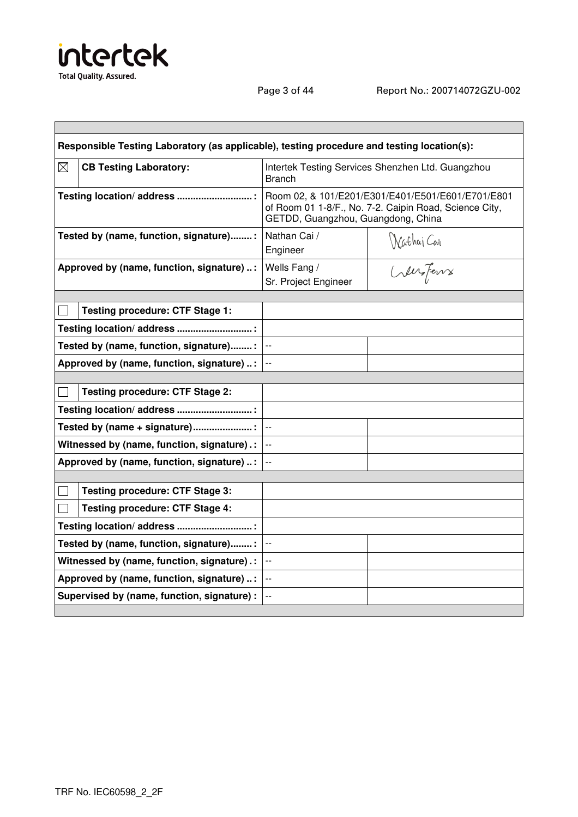

<u> Tanzania de la pro</u>

┓

| Responsible Testing Laboratory (as applicable), testing procedure and testing location(s): |                                            |                                                                                                                                                   |  |  |
|--------------------------------------------------------------------------------------------|--------------------------------------------|---------------------------------------------------------------------------------------------------------------------------------------------------|--|--|
| $\boxtimes$                                                                                | <b>CB Testing Laboratory:</b>              | Intertek Testing Services Shenzhen Ltd. Guangzhou<br><b>Branch</b>                                                                                |  |  |
| Testing location/ address  :                                                               |                                            | Room 02, & 101/E201/E301/E401/E501/E601/E701/E801<br>of Room 01 1-8/F., No. 7-2. Caipin Road, Science City,<br>GETDD, Guangzhou, Guangdong, China |  |  |
|                                                                                            | Tested by (name, function, signature):     | Nathan Cai /<br>Wathai Cair<br>CalesFerra<br>Engineer                                                                                             |  |  |
|                                                                                            | Approved by (name, function, signature) :  | Wells Fang /<br>Sr. Project Engineer                                                                                                              |  |  |
|                                                                                            |                                            |                                                                                                                                                   |  |  |
|                                                                                            | Testing procedure: CTF Stage 1:            |                                                                                                                                                   |  |  |
|                                                                                            | Testing location/ address  :               |                                                                                                                                                   |  |  |
|                                                                                            | Tested by (name, function, signature):     |                                                                                                                                                   |  |  |
| Approved by (name, function, signature) :                                                  |                                            |                                                                                                                                                   |  |  |
|                                                                                            |                                            |                                                                                                                                                   |  |  |
|                                                                                            | <b>Testing procedure: CTF Stage 2:</b>     |                                                                                                                                                   |  |  |
|                                                                                            | Testing location/ address  :               |                                                                                                                                                   |  |  |
|                                                                                            | Tested by (name + signature):              |                                                                                                                                                   |  |  |
|                                                                                            | Witnessed by (name, function, signature).: |                                                                                                                                                   |  |  |
|                                                                                            | Approved by (name, function, signature) :  |                                                                                                                                                   |  |  |
|                                                                                            |                                            |                                                                                                                                                   |  |  |
|                                                                                            | Testing procedure: CTF Stage 3:            |                                                                                                                                                   |  |  |
|                                                                                            | <b>Testing procedure: CTF Stage 4:</b>     |                                                                                                                                                   |  |  |
|                                                                                            | Testing location/ address  :               |                                                                                                                                                   |  |  |
|                                                                                            | Tested by (name, function, signature):     | $\overline{a}$                                                                                                                                    |  |  |
|                                                                                            | Witnessed by (name, function, signature).: | --                                                                                                                                                |  |  |
|                                                                                            | Approved by (name, function, signature) :  | $\overline{\phantom{a}}$                                                                                                                          |  |  |
| Supervised by (name, function, signature) :                                                |                                            | $\overline{\phantom{a}}$                                                                                                                          |  |  |
|                                                                                            |                                            |                                                                                                                                                   |  |  |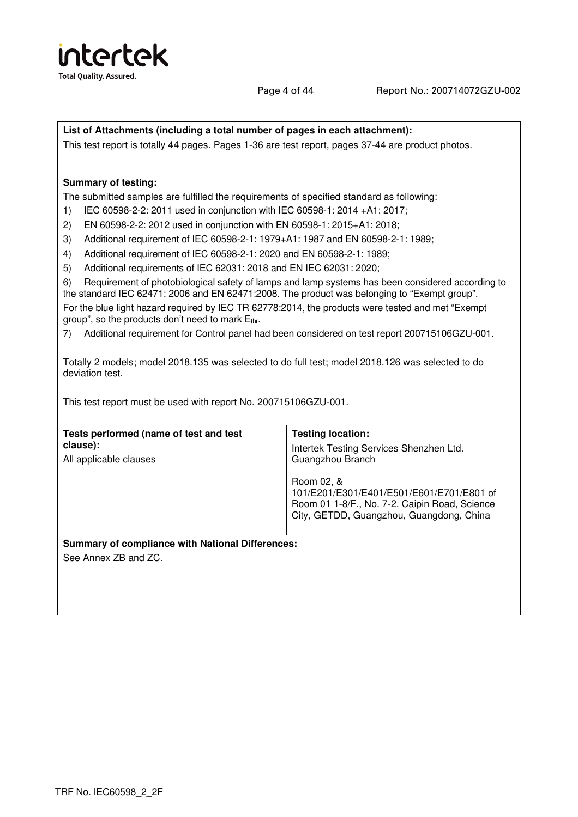

**List of Attachments (including a total number of pages in each attachment):**  This test report is totally 44 pages. Pages 1-36 are test report, pages 37-44 are product photos.

#### **Summary of testing:**

The submitted samples are fulfilled the requirements of specified standard as following:

- 1) IEC 60598-2-2: 2011 used in conjunction with IEC 60598-1: 2014 +A1: 2017;
- 2) EN 60598-2-2: 2012 used in conjunction with EN 60598-1: 2015+A1: 2018;
- 3) Additional requirement of IEC 60598-2-1: 1979+A1: 1987 and EN 60598-2-1: 1989;
- 4) Additional requirement of IEC 60598-2-1: 2020 and EN 60598-2-1: 1989;
- 5) Additional requirements of IEC 62031: 2018 and EN IEC 62031: 2020;

6) Requirement of photobiological safety of lamps and lamp systems has been considered according to the standard IEC 62471: 2006 and EN 62471:2008. The product was belonging to "Exempt group".

For the blue light hazard required by IEC TR 62778:2014, the products were tested and met "Exempt group", so the products don't need to mark Ethr.

7) Additional requirement for Control panel had been considered on test report 200715106GZU-001.

Totally 2 models; model 2018.135 was selected to do full test; model 2018.126 was selected to do deviation test.

This test report must be used with report No. 200715106GZU-001.

| Tests performed (name of test and test<br>clause):<br>All applicable clauses | <b>Testing location:</b><br>Intertek Testing Services Shenzhen Ltd.<br>Guangzhou Branch<br>Room 02, &<br>101/E201/E301/E401/E501/E601/E701/E801 of<br>Room 01 1-8/F., No. 7-2. Caipin Road, Science<br>City, GETDD, Guangzhou, Guangdong, China |
|------------------------------------------------------------------------------|-------------------------------------------------------------------------------------------------------------------------------------------------------------------------------------------------------------------------------------------------|
| <b>Summary of compliance with National Differences:</b>                      |                                                                                                                                                                                                                                                 |
| See Annex ZB and ZC.                                                         |                                                                                                                                                                                                                                                 |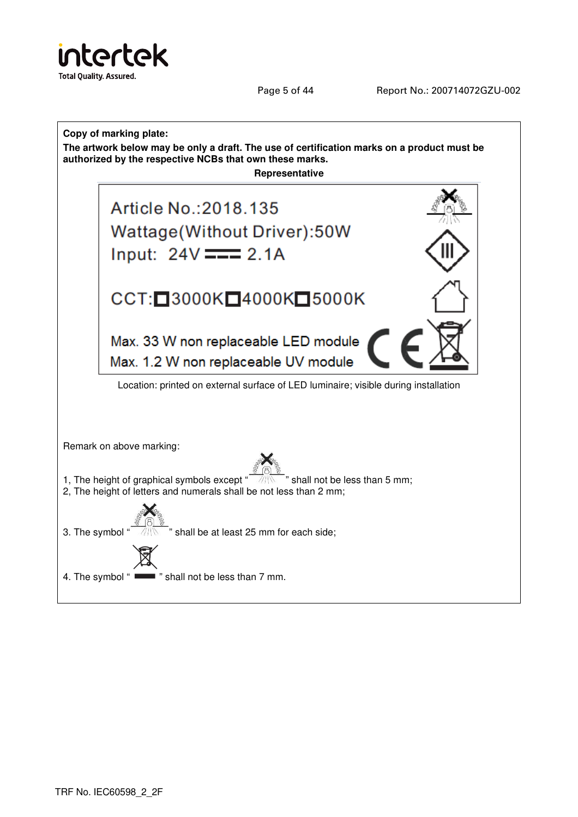

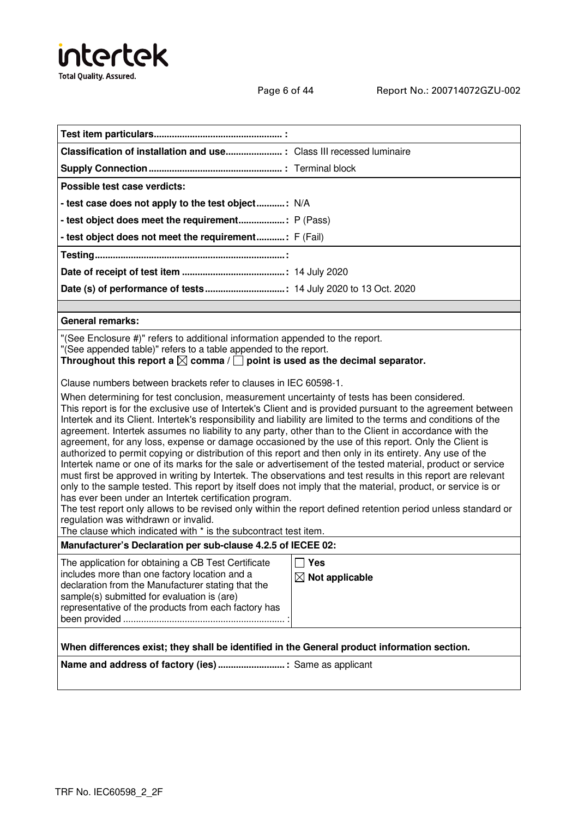

| Possible test case verdicts:                                                                                                                                                                                                                                                                                                                                                                                                                                                                                                                                                                                                                                                                                                                                                                                                                                                                                                                                                                                                                                                                                                                                                                                                                                                                   |  |  |  |
|------------------------------------------------------------------------------------------------------------------------------------------------------------------------------------------------------------------------------------------------------------------------------------------------------------------------------------------------------------------------------------------------------------------------------------------------------------------------------------------------------------------------------------------------------------------------------------------------------------------------------------------------------------------------------------------------------------------------------------------------------------------------------------------------------------------------------------------------------------------------------------------------------------------------------------------------------------------------------------------------------------------------------------------------------------------------------------------------------------------------------------------------------------------------------------------------------------------------------------------------------------------------------------------------|--|--|--|
| - test case does not apply to the test object: N/A                                                                                                                                                                                                                                                                                                                                                                                                                                                                                                                                                                                                                                                                                                                                                                                                                                                                                                                                                                                                                                                                                                                                                                                                                                             |  |  |  |
|                                                                                                                                                                                                                                                                                                                                                                                                                                                                                                                                                                                                                                                                                                                                                                                                                                                                                                                                                                                                                                                                                                                                                                                                                                                                                                |  |  |  |
| - test object does not meet the requirement: F (Fail)                                                                                                                                                                                                                                                                                                                                                                                                                                                                                                                                                                                                                                                                                                                                                                                                                                                                                                                                                                                                                                                                                                                                                                                                                                          |  |  |  |
|                                                                                                                                                                                                                                                                                                                                                                                                                                                                                                                                                                                                                                                                                                                                                                                                                                                                                                                                                                                                                                                                                                                                                                                                                                                                                                |  |  |  |
|                                                                                                                                                                                                                                                                                                                                                                                                                                                                                                                                                                                                                                                                                                                                                                                                                                                                                                                                                                                                                                                                                                                                                                                                                                                                                                |  |  |  |
|                                                                                                                                                                                                                                                                                                                                                                                                                                                                                                                                                                                                                                                                                                                                                                                                                                                                                                                                                                                                                                                                                                                                                                                                                                                                                                |  |  |  |
|                                                                                                                                                                                                                                                                                                                                                                                                                                                                                                                                                                                                                                                                                                                                                                                                                                                                                                                                                                                                                                                                                                                                                                                                                                                                                                |  |  |  |
| <b>General remarks:</b>                                                                                                                                                                                                                                                                                                                                                                                                                                                                                                                                                                                                                                                                                                                                                                                                                                                                                                                                                                                                                                                                                                                                                                                                                                                                        |  |  |  |
| "(See Enclosure #)" refers to additional information appended to the report.<br>"(See appended table)" refers to a table appended to the report.<br>Throughout this report a $\boxtimes$ comma / $\Box$ point is used as the decimal separator.                                                                                                                                                                                                                                                                                                                                                                                                                                                                                                                                                                                                                                                                                                                                                                                                                                                                                                                                                                                                                                                |  |  |  |
| Clause numbers between brackets refer to clauses in IEC 60598-1.                                                                                                                                                                                                                                                                                                                                                                                                                                                                                                                                                                                                                                                                                                                                                                                                                                                                                                                                                                                                                                                                                                                                                                                                                               |  |  |  |
| When determining for test conclusion, measurement uncertainty of tests has been considered.<br>This report is for the exclusive use of Intertek's Client and is provided pursuant to the agreement between<br>Intertek and its Client. Intertek's responsibility and liability are limited to the terms and conditions of the<br>agreement. Intertek assumes no liability to any party, other than to the Client in accordance with the<br>agreement, for any loss, expense or damage occasioned by the use of this report. Only the Client is<br>authorized to permit copying or distribution of this report and then only in its entirety. Any use of the<br>Intertek name or one of its marks for the sale or advertisement of the tested material, product or service<br>must first be approved in writing by Intertek. The observations and test results in this report are relevant<br>only to the sample tested. This report by itself does not imply that the material, product, or service is or<br>has ever been under an Intertek certification program.<br>The test report only allows to be revised only within the report defined retention period unless standard or<br>regulation was withdrawn or invalid.<br>The clause which indicated with * is the subcontract test item. |  |  |  |
| Manufacturer's Declaration per sub-clause 4.2.5 of IECEE 02:                                                                                                                                                                                                                                                                                                                                                                                                                                                                                                                                                                                                                                                                                                                                                                                                                                                                                                                                                                                                                                                                                                                                                                                                                                   |  |  |  |
| The application for obtaining a CB Test Certificate<br>Yes<br>includes more than one factory location and a<br>$\boxtimes$ Not applicable<br>declaration from the Manufacturer stating that the<br>sample(s) submitted for evaluation is (are)<br>representative of the products from each factory has                                                                                                                                                                                                                                                                                                                                                                                                                                                                                                                                                                                                                                                                                                                                                                                                                                                                                                                                                                                         |  |  |  |
| When differences exist; they shall be identified in the General product information section.                                                                                                                                                                                                                                                                                                                                                                                                                                                                                                                                                                                                                                                                                                                                                                                                                                                                                                                                                                                                                                                                                                                                                                                                   |  |  |  |
| Name and address of factory (ies) : Same as applicant                                                                                                                                                                                                                                                                                                                                                                                                                                                                                                                                                                                                                                                                                                                                                                                                                                                                                                                                                                                                                                                                                                                                                                                                                                          |  |  |  |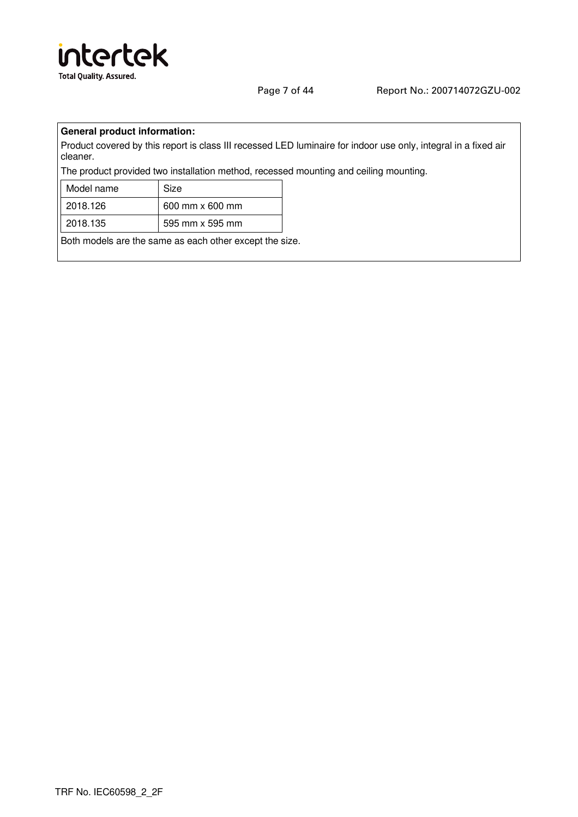

#### **General product information:**

Product covered by this report is class III recessed LED luminaire for indoor use only, integral in a fixed air cleaner.

The product provided two installation method, recessed mounting and ceiling mounting.

| Model name | <b>Size</b>     |
|------------|-----------------|
| 2018.126   | 600 mm x 600 mm |
| 2018.135   | 595 mm x 595 mm |

Both models are the same as each other except the size.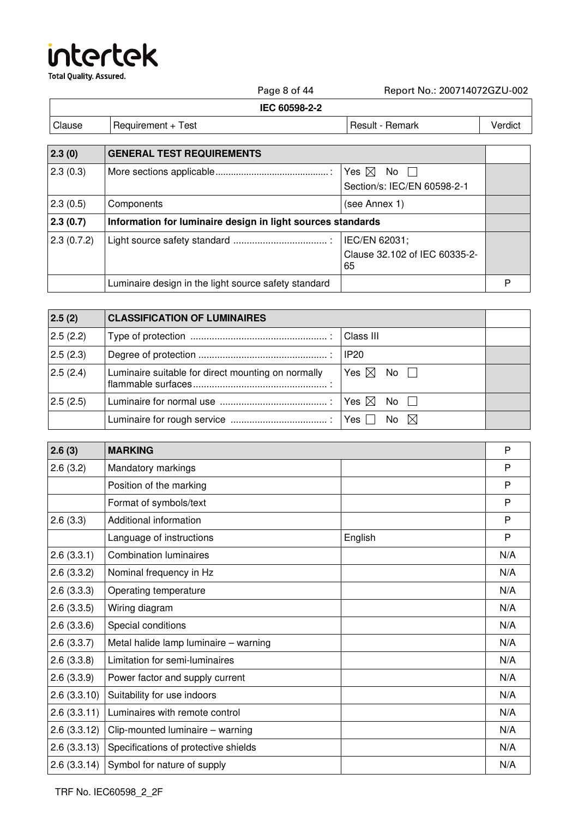**Total Quality. Assured.** 

Page 8 of 44 Report No.: 200714072GZU-002

|        |                    | IEC 60598-2-2 |                 |         |
|--------|--------------------|---------------|-----------------|---------|
| Clause | Requirement + Test |               | Result - Remark | Verdict |

| 2.3(0)     | <b>GENERAL TEST REQUIREMENTS</b>                            |                                     |  |
|------------|-------------------------------------------------------------|-------------------------------------|--|
| 2.3(0.3)   |                                                             | Yes $\boxtimes$<br>$No$ $\Box$      |  |
|            |                                                             | Section/s: IEC/EN 60598-2-1         |  |
| 2.3(0.5)   | Components                                                  | (see Annex 1)                       |  |
| 2.3(0.7)   | Information for luminaire design in light sources standards |                                     |  |
| 2.3(0.7.2) |                                                             | IEC/EN 62031;                       |  |
|            |                                                             | Clause 32.102 of IEC 60335-2-<br>65 |  |
|            | Luminaire design in the light source safety standard        |                                     |  |

| 2.5(2)   | <b>CLASSIFICATION OF LUMINAIRES</b>                |                           |  |
|----------|----------------------------------------------------|---------------------------|--|
| 2.5(2.2) |                                                    | Class III                 |  |
| 2.5(2.3) |                                                    | <b>IP20</b>               |  |
| 2.5(2.4) | Luminaire suitable for direct mounting on normally | Yes $\boxtimes$ No $\Box$ |  |
| 2.5(2.5) |                                                    | Yes $\boxtimes$ No $\Box$ |  |
|          |                                                    | ⊦Yes ∐<br>No $\boxtimes$  |  |

| 2.6(3)      | <b>MARKING</b>                        |         | P   |
|-------------|---------------------------------------|---------|-----|
| 2.6(3.2)    | Mandatory markings                    |         | P   |
|             | Position of the marking               |         | P   |
|             | Format of symbols/text                |         | P   |
| 2.6(3.3)    | Additional information                |         | P   |
|             | Language of instructions              | English | P   |
| 2.6(3.3.1)  | <b>Combination luminaires</b>         |         | N/A |
| 2.6(3.3.2)  | Nominal frequency in Hz               |         | N/A |
| 2.6(3.3.3)  | Operating temperature                 |         | N/A |
| 2.6(3.3.5)  | Wiring diagram                        |         | N/A |
| 2.6(3.3.6)  | Special conditions                    |         | N/A |
| 2.6(3.3.7)  | Metal halide lamp luminaire - warning |         | N/A |
| 2.6(3.3.8)  | Limitation for semi-luminaires        |         | N/A |
| 2.6(3.3.9)  | Power factor and supply current       |         | N/A |
| 2.6(3.3.10) | Suitability for use indoors           |         | N/A |
| 2.6(3.3.11) | Luminaires with remote control        |         | N/A |
| 2.6(3.3.12) | Clip-mounted luminaire - warning      |         | N/A |
| 2.6(3.3.13) | Specifications of protective shields  |         | N/A |
| 2.6(3.3.14) | Symbol for nature of supply           |         | N/A |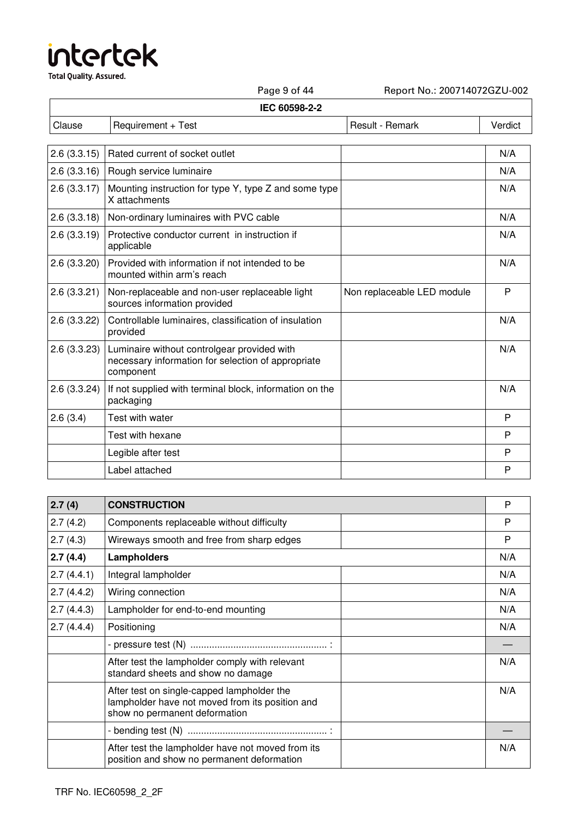**Total Quality. Assured.** 

Page 9 of 44 Report No.: 200714072GZU-002

┯

### **IEC 60598-2-2**

┓

| Clause      | Requirement + Test                                                                                             | Result - Remark            | Verdict |
|-------------|----------------------------------------------------------------------------------------------------------------|----------------------------|---------|
|             |                                                                                                                |                            |         |
| 2.6(3.3.15) | Rated current of socket outlet                                                                                 |                            | N/A     |
| 2.6(3.3.16) | Rough service luminaire                                                                                        |                            | N/A     |
| 2.6(3.3.17) | Mounting instruction for type Y, type Z and some type<br>X attachments                                         |                            | N/A     |
| 2.6(3.3.18) | Non-ordinary luminaires with PVC cable                                                                         |                            | N/A     |
| 2.6(3.3.19) | Protective conductor current in instruction if<br>applicable                                                   |                            | N/A     |
| 2.6(3.3.20) | Provided with information if not intended to be<br>mounted within arm's reach                                  |                            | N/A     |
| 2.6(3.3.21) | Non-replaceable and non-user replaceable light<br>sources information provided                                 | Non replaceable LED module | P       |
| 2.6(3.3.22) | Controllable luminaires, classification of insulation<br>provided                                              |                            | N/A     |
| 2.6(3.3.23) | Luminaire without controlgear provided with<br>necessary information for selection of appropriate<br>component |                            | N/A     |
| 2.6(3.3.24) | If not supplied with terminal block, information on the<br>packaging                                           |                            | N/A     |
| 2.6(3.4)    | Test with water                                                                                                |                            | P       |
|             | Test with hexane                                                                                               |                            | P       |
|             | Legible after test                                                                                             |                            | P       |
|             | Label attached                                                                                                 |                            | P       |

| 2.7(4)     | <b>CONSTRUCTION</b>                                                                                                            | P   |
|------------|--------------------------------------------------------------------------------------------------------------------------------|-----|
| 2.7(4.2)   | Components replaceable without difficulty                                                                                      | P   |
| 2.7(4.3)   | Wireways smooth and free from sharp edges                                                                                      | P   |
| 2.7(4.4)   | Lampholders                                                                                                                    | N/A |
| 2.7(4.4.1) | Integral lampholder                                                                                                            | N/A |
| 2.7(4.4.2) | Wiring connection                                                                                                              | N/A |
| 2.7(4.4.3) | Lampholder for end-to-end mounting                                                                                             | N/A |
| 2.7(4.4.4) | Positioning                                                                                                                    | N/A |
|            |                                                                                                                                |     |
|            | After test the lampholder comply with relevant<br>standard sheets and show no damage                                           | N/A |
|            | After test on single-capped lampholder the<br>lampholder have not moved from its position and<br>show no permanent deformation | N/A |
|            |                                                                                                                                |     |
|            | After test the lampholder have not moved from its<br>position and show no permanent deformation                                | N/A |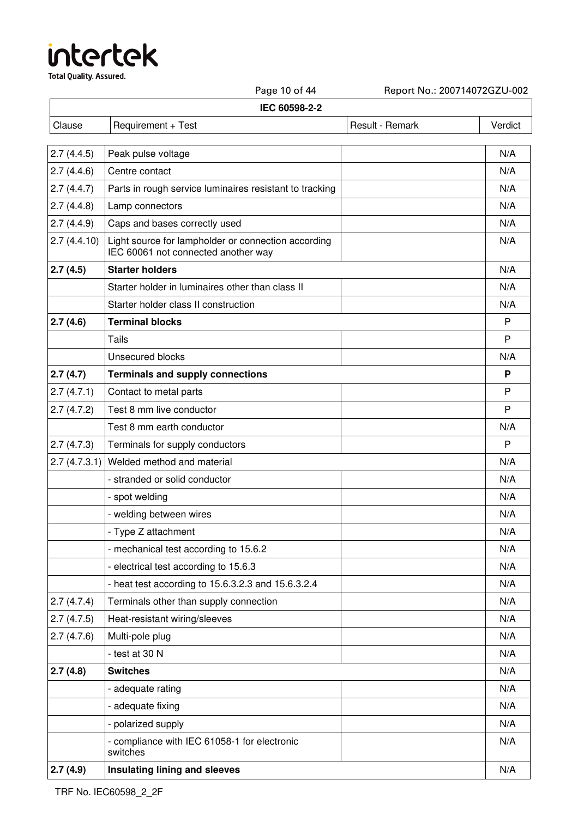**Total Quality. Assured.** 

Page 10 of 44 Report No.: 200714072GZU-002

| Clause       | Requirement + Test                                                                         | Result - Remark | Verdict |
|--------------|--------------------------------------------------------------------------------------------|-----------------|---------|
| 2.7(4.4.5)   | Peak pulse voltage                                                                         |                 | N/A     |
| 2.7(4.4.6)   | Centre contact                                                                             |                 | N/A     |
| 2.7(4.4.7)   | Parts in rough service luminaires resistant to tracking                                    |                 | N/A     |
| 2.7(4.4.8)   | Lamp connectors                                                                            |                 | N/A     |
| 2.7(4.4.9)   | Caps and bases correctly used                                                              |                 | N/A     |
| 2.7(4.4.10)  | Light source for lampholder or connection according<br>IEC 60061 not connected another way |                 | N/A     |
| 2.7(4.5)     | <b>Starter holders</b>                                                                     |                 | N/A     |
|              | Starter holder in luminaires other than class II                                           |                 | N/A     |
|              | Starter holder class II construction                                                       |                 | N/A     |
| 2.7(4.6)     | <b>Terminal blocks</b>                                                                     |                 | P       |
|              | Tails                                                                                      |                 | P       |
|              | <b>Unsecured blocks</b>                                                                    |                 | N/A     |
| 2.7(4.7)     | <b>Terminals and supply connections</b>                                                    |                 | P       |
| 2.7(4.7.1)   | Contact to metal parts                                                                     |                 | P       |
| 2.7(4.7.2)   | Test 8 mm live conductor                                                                   |                 | P       |
|              | Test 8 mm earth conductor                                                                  |                 | N/A     |
| 2.7(4.7.3)   | Terminals for supply conductors                                                            |                 | P       |
| 2.7(4.7.3.1) | Welded method and material                                                                 |                 | N/A     |
|              | - stranded or solid conductor                                                              |                 | N/A     |
|              | - spot welding                                                                             |                 | N/A     |
|              | - welding between wires                                                                    |                 | N/A     |
|              | - Type Z attachment                                                                        |                 | N/A     |
|              | - mechanical test according to 15.6.2                                                      |                 | N/A     |
|              | - electrical test according to 15.6.3                                                      |                 | N/A     |
|              | - heat test according to 15.6.3.2.3 and 15.6.3.2.4                                         |                 | N/A     |
| 2.7(4.7.4)   | Terminals other than supply connection                                                     |                 | N/A     |
| 2.7(4.7.5)   | Heat-resistant wiring/sleeves                                                              |                 | N/A     |
| 2.7(4.7.6)   | Multi-pole plug                                                                            |                 | N/A     |
|              | - test at 30 N                                                                             |                 | N/A     |
| 2.7(4.8)     | <b>Switches</b>                                                                            |                 | N/A     |
|              | - adequate rating                                                                          |                 | N/A     |
|              | - adequate fixing                                                                          |                 | N/A     |
|              | - polarized supply                                                                         |                 | N/A     |
|              | - compliance with IEC 61058-1 for electronic<br>switches                                   |                 | N/A     |
| 2.7(4.9)     | Insulating lining and sleeves                                                              |                 | N/A     |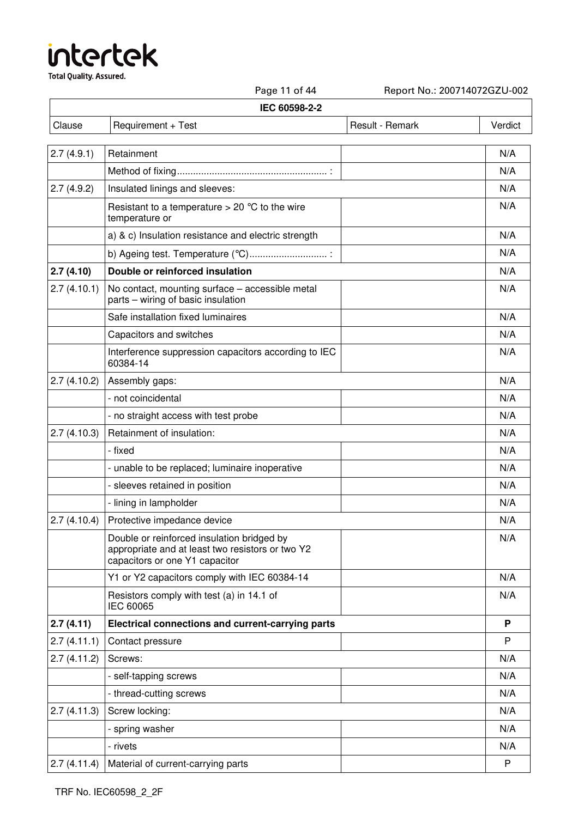|  | intertek |  |
|--|----------|--|
|  |          |  |

**Page 11 of 44**<br>**IEC 60598-2-2** 

Report No.: 200714072GZU-002

| IEC 60598-2-2 |                    |                 |         |
|---------------|--------------------|-----------------|---------|
| Clause        | Requirement + Test | Result - Remark | Verdict |
|               |                    |                 |         |

| 2.7(4.9.1)  | Retainment                                                                                                                       | N/A |
|-------------|----------------------------------------------------------------------------------------------------------------------------------|-----|
|             |                                                                                                                                  | N/A |
| 2.7(4.9.2)  | Insulated linings and sleeves:                                                                                                   | N/A |
|             | Resistant to a temperature $> 20$ °C to the wire<br>temperature or                                                               | N/A |
|             | a) & c) Insulation resistance and electric strength                                                                              | N/A |
|             |                                                                                                                                  | N/A |
| 2.7(4.10)   | Double or reinforced insulation                                                                                                  | N/A |
| 2.7(4.10.1) | No contact, mounting surface - accessible metal<br>parts - wiring of basic insulation                                            | N/A |
|             | Safe installation fixed luminaires                                                                                               | N/A |
|             | Capacitors and switches                                                                                                          | N/A |
|             | Interference suppression capacitors according to IEC<br>60384-14                                                                 | N/A |
| 2.7(4.10.2) | Assembly gaps:                                                                                                                   | N/A |
|             | - not coincidental                                                                                                               | N/A |
|             | - no straight access with test probe                                                                                             | N/A |
| 2.7(4.10.3) | Retainment of insulation:                                                                                                        | N/A |
|             | - fixed                                                                                                                          | N/A |
|             | - unable to be replaced; luminaire inoperative                                                                                   | N/A |
|             | - sleeves retained in position                                                                                                   | N/A |
|             | - lining in lampholder                                                                                                           | N/A |
| 2.7(4.10.4) | Protective impedance device                                                                                                      | N/A |
|             | Double or reinforced insulation bridged by<br>appropriate and at least two resistors or two Y2<br>capacitors or one Y1 capacitor | N/A |
|             | Y1 or Y2 capacitors comply with IEC 60384-14                                                                                     | N/A |
|             | Resistors comply with test (a) in 14.1 of<br>IEC 60065                                                                           | N/A |
| 2.7(4.11)   | Electrical connections and current-carrying parts                                                                                | P   |
| 2.7(4.11.1) | Contact pressure                                                                                                                 | P   |
| 2.7(4.11.2) | Screws:                                                                                                                          | N/A |
|             | - self-tapping screws                                                                                                            | N/A |
|             | - thread-cutting screws                                                                                                          | N/A |
| 2.7(4.11.3) | Screw locking:                                                                                                                   | N/A |
|             | - spring washer                                                                                                                  | N/A |
|             | - rivets                                                                                                                         | N/A |
| 2.7(4.11.4) | Material of current-carrying parts                                                                                               | P   |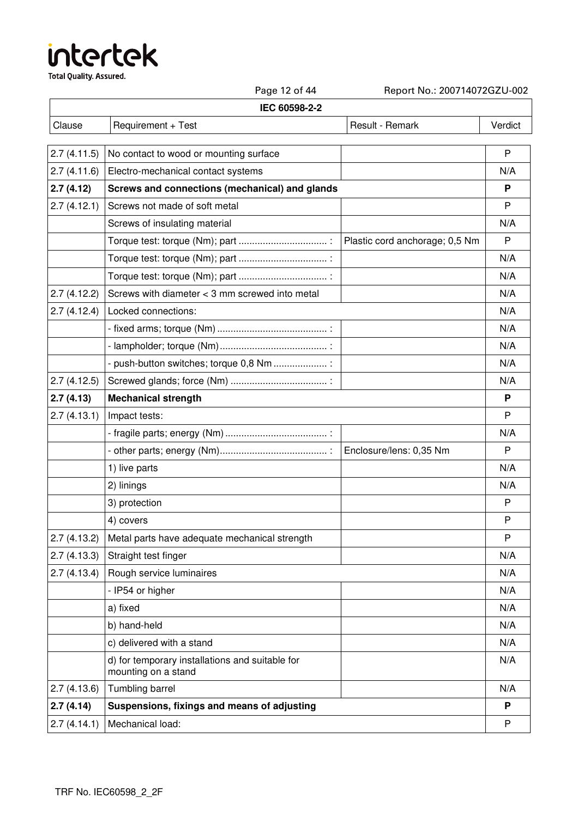**Total Quality. Assured.** 

 $\overline{1}$ 

Page 12 of 44 Report No.: 200714072GZU-002

|        | IEC 60598-2-2      |                 |         |
|--------|--------------------|-----------------|---------|
| Clause | Requirement + Test | Result - Remark | Verdict |
|        |                    |                 |         |

| 2.7(4.11.5)                         | No contact to wood or mounting surface          |                                | P   |
|-------------------------------------|-------------------------------------------------|--------------------------------|-----|
| 2.7(4.11.6)                         | Electro-mechanical contact systems              |                                | N/A |
| 2.7(4.12)                           | Screws and connections (mechanical) and glands  |                                | P   |
| 2.7(4.12.1)                         | Screws not made of soft metal                   |                                | P   |
|                                     | Screws of insulating material                   |                                | N/A |
|                                     |                                                 | Plastic cord anchorage; 0,5 Nm | P   |
|                                     | Torque test: torque (Nm); part  :               |                                | N/A |
|                                     | Torque test: torque (Nm); part  :               |                                | N/A |
| 2.7(4.12.2)                         | Screws with diameter < 3 mm screwed into metal  |                                | N/A |
| 2.7(4.12.4)<br>Locked connections:  |                                                 |                                | N/A |
|                                     |                                                 |                                | N/A |
|                                     |                                                 |                                | N/A |
|                                     | - push-button switches; torque 0,8 Nm  :        |                                | N/A |
| 2.7(4.12.5)                         |                                                 |                                | N/A |
| 2.7(4.13)                           | <b>Mechanical strength</b>                      |                                | Р   |
| 2.7(4.13.1)<br>Impact tests:        |                                                 |                                | P   |
|                                     |                                                 |                                | N/A |
|                                     |                                                 | Enclosure/lens: 0,35 Nm        | P   |
| 1) live parts                       |                                                 |                                | N/A |
| 2) linings                          |                                                 |                                | N/A |
| 3) protection                       |                                                 |                                | P   |
| 4) covers                           |                                                 |                                | P   |
| 2.7(4.13.2)                         | Metal parts have adequate mechanical strength   |                                | P   |
| 2.7(4.13.3)<br>Straight test finger |                                                 |                                | N/A |
| 2.7(4.13.4)                         | Rough service luminaires                        |                                | N/A |
| - IP54 or higher                    |                                                 |                                | N/A |
| a) fixed                            |                                                 |                                | N/A |
| b) hand-held                        |                                                 |                                | N/A |
| c) delivered with a stand           |                                                 |                                | N/A |
| mounting on a stand                 | d) for temporary installations and suitable for |                                | N/A |
| 2.7(4.13.6)<br>Tumbling barrel      |                                                 |                                | N/A |
| 2.7(4.14)                           | Suspensions, fixings and means of adjusting     |                                | P   |
|                                     |                                                 |                                |     |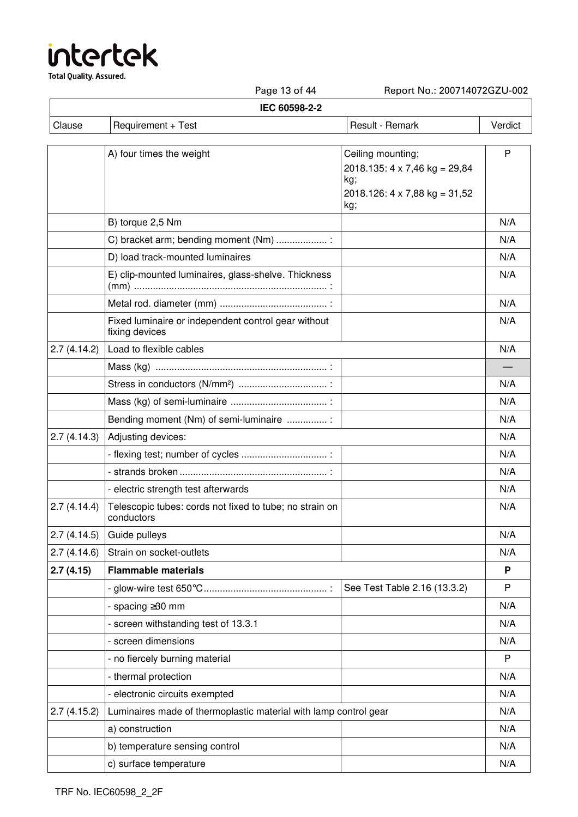

 $\overline{\phantom{a}}$ 

Page 13 of 44 Report No.: 200714072GZU-002

٦

|        | <u>ו⊏ר סעכטס חדו</u> |                  |         |
|--------|----------------------|------------------|---------|
| Clause | ēst<br>Requirement + | Result<br>Remark | /erdict |

|             | A) four times the weight                                              | Ceiling mounting;<br>2018.135: 4 x 7,46 kg = 29,84<br>kg; | P   |
|-------------|-----------------------------------------------------------------------|-----------------------------------------------------------|-----|
|             |                                                                       | 2018.126: 4 x 7,88 kg = 31,52<br>kg;                      |     |
|             | B) torque 2,5 Nm                                                      |                                                           | N/A |
|             | C) bracket arm; bending moment (Nm)  :                                |                                                           | N/A |
|             | D) load track-mounted luminaires                                      |                                                           | N/A |
|             | E) clip-mounted luminaires, glass-shelve. Thickness                   |                                                           | N/A |
|             |                                                                       |                                                           | N/A |
|             | Fixed luminaire or independent control gear without<br>fixing devices |                                                           | N/A |
| 2.7(4.14.2) | Load to flexible cables                                               |                                                           | N/A |
|             |                                                                       |                                                           |     |
|             |                                                                       |                                                           | N/A |
|             |                                                                       |                                                           | N/A |
|             | Bending moment (Nm) of semi-luminaire                                 |                                                           | N/A |
| 2.7(4.14.3) | Adjusting devices:                                                    |                                                           | N/A |
|             |                                                                       |                                                           | N/A |
|             |                                                                       |                                                           | N/A |
|             | - electric strength test afterwards                                   |                                                           | N/A |
| 2.7(4.14.4) | Telescopic tubes: cords not fixed to tube; no strain on<br>conductors |                                                           | N/A |
| 2.7(4.14.5) | Guide pulleys                                                         |                                                           | N/A |
| 2.7(4.14.6) | Strain on socket-outlets                                              |                                                           | N/A |
| 2.7(4.15)   | <b>Flammable materials</b>                                            |                                                           | P   |
|             |                                                                       | See Test Table 2.16 (13.3.2)                              | P   |
|             | - spacing $\geq$ 30 mm                                                |                                                           | N/A |
|             | - screen withstanding test of 13.3.1                                  |                                                           | N/A |
|             | - screen dimensions                                                   |                                                           | N/A |
|             | - no fiercely burning material                                        |                                                           | P   |
|             | - thermal protection                                                  |                                                           | N/A |
|             | - electronic circuits exempted                                        |                                                           | N/A |
| 2.7(4.15.2) | Luminaires made of thermoplastic material with lamp control gear      |                                                           | N/A |
|             | a) construction                                                       |                                                           | N/A |
|             | b) temperature sensing control                                        |                                                           | N/A |
|             | c) surface temperature                                                |                                                           | N/A |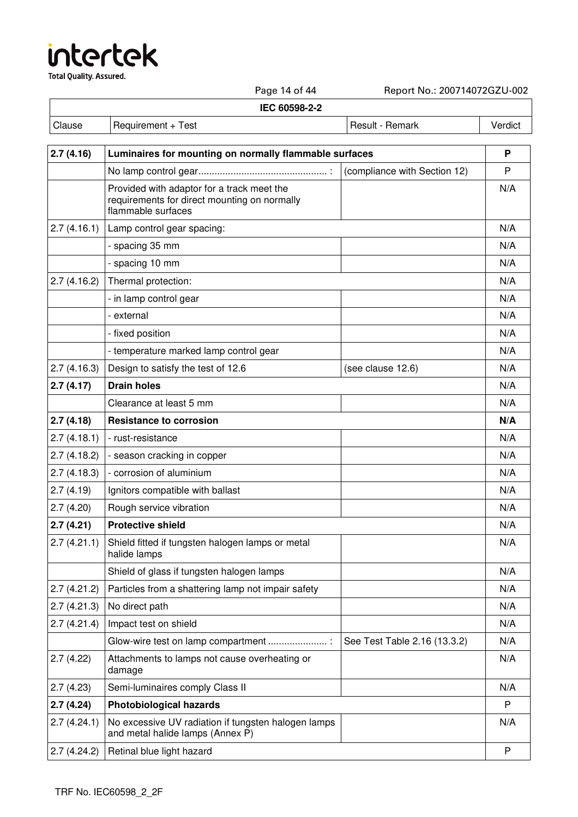| intertek |  |  |
|----------|--|--|
|          |  |  |

Page 14 of 44 Report No.: 200714072GZU-002

|        |                    | IEC 60598-2-2 |                 |         |
|--------|--------------------|---------------|-----------------|---------|
| Clause | Requirement + Test |               | Result - Remark | Verdict |

| 2.7(4.16)   | Luminaires for mounting on normally flammable surfaces                                                           |                              | P   |
|-------------|------------------------------------------------------------------------------------------------------------------|------------------------------|-----|
|             |                                                                                                                  | (compliance with Section 12) | P   |
|             | Provided with adaptor for a track meet the<br>requirements for direct mounting on normally<br>flammable surfaces |                              | N/A |
| 2.7(4.16.1) | Lamp control gear spacing:                                                                                       |                              | N/A |
|             | - spacing 35 mm                                                                                                  |                              | N/A |
|             | - spacing 10 mm                                                                                                  |                              | N/A |
| 2.7(4.16.2) | Thermal protection:                                                                                              |                              | N/A |
|             | - in lamp control gear                                                                                           |                              | N/A |
|             | - external                                                                                                       |                              | N/A |
|             | - fixed position                                                                                                 |                              | N/A |
|             | - temperature marked lamp control gear                                                                           |                              | N/A |
| 2.7(4.16.3) | Design to satisfy the test of 12.6                                                                               | (see clause 12.6)            | N/A |
| 2.7(4.17)   | <b>Drain holes</b>                                                                                               |                              | N/A |
|             | Clearance at least 5 mm                                                                                          |                              | N/A |
| 2.7(4.18)   | <b>Resistance to corrosion</b>                                                                                   |                              | N/A |
| 2.7(4.18.1) | - rust-resistance                                                                                                |                              | N/A |
| 2.7(4.18.2) | - season cracking in copper                                                                                      |                              | N/A |
| 2.7(4.18.3) | - corrosion of aluminium                                                                                         |                              | N/A |
| 2.7(4.19)   | Ignitors compatible with ballast                                                                                 |                              | N/A |
| 2.7(4.20)   | Rough service vibration                                                                                          |                              | N/A |
| 2.7(4.21)   | <b>Protective shield</b>                                                                                         |                              | N/A |
| 2.7(4.21.1) | Shield fitted if tungsten halogen lamps or metal<br>halide lamps                                                 |                              | N/A |
|             | Shield of glass if tungsten halogen lamps                                                                        |                              | N/A |
| 2.7(4.21.2) | Particles from a shattering lamp not impair safety                                                               |                              | N/A |
| 2.7(4.21.3) | No direct path                                                                                                   |                              | N/A |
| 2.7(4.21.4) | Impact test on shield                                                                                            |                              | N/A |
|             | Glow-wire test on lamp compartment                                                                               | See Test Table 2.16 (13.3.2) | N/A |
| 2.7(4.22)   | Attachments to lamps not cause overheating or<br>damage                                                          |                              | N/A |
| 2.7(4.23)   | Semi-luminaires comply Class II                                                                                  |                              | N/A |
| 2.7(4.24)   | <b>Photobiological hazards</b>                                                                                   |                              | P   |
| 2.7(4.24.1) | No excessive UV radiation if tungsten halogen lamps<br>and metal halide lamps (Annex P)                          |                              | N/A |
| 2.7(4.24.2) | Retinal blue light hazard                                                                                        |                              | P   |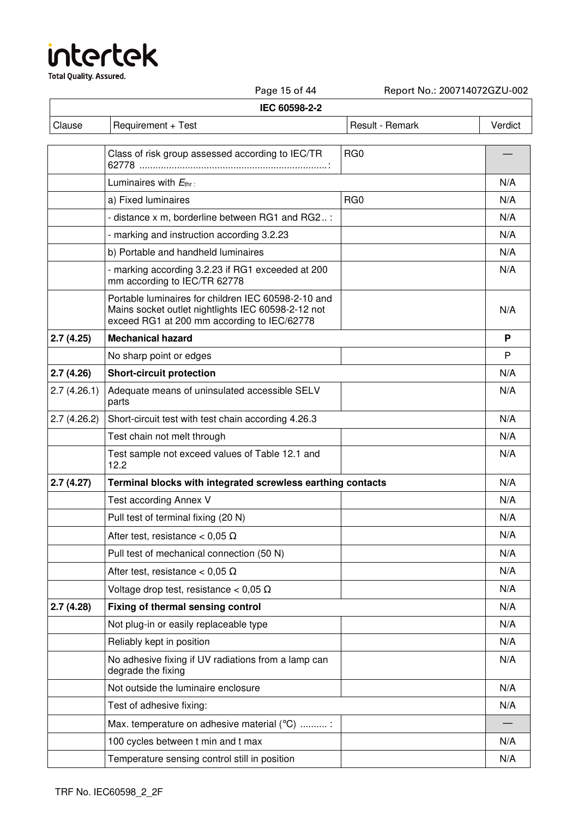**Total Quality. Assured.** 

 $\overline{1}$ 

Page 15 of 44 Report No.: 200714072GZU-002

|              | ב-ספכטט טבו               |                  |         |
|--------------|---------------------------|------------------|---------|
| $\cap$ lause | −<br>est<br>Hequirement + | Remark<br>Result | Verdict |

|             | Class of risk group assessed according to IEC/TR                                                                                                         | RG <sub>0</sub> |     |
|-------------|----------------------------------------------------------------------------------------------------------------------------------------------------------|-----------------|-----|
|             | Luminaires with $E_{thr}$ :                                                                                                                              |                 | N/A |
|             | a) Fixed luminaires                                                                                                                                      | RG <sub>0</sub> | N/A |
|             | - distance x m, borderline between RG1 and RG2:                                                                                                          |                 | N/A |
|             | - marking and instruction according 3.2.23                                                                                                               |                 | N/A |
|             | b) Portable and handheld luminaires                                                                                                                      |                 | N/A |
|             | - marking according 3.2.23 if RG1 exceeded at 200<br>mm according to IEC/TR 62778                                                                        |                 | N/A |
|             | Portable luminaires for children IEC 60598-2-10 and<br>Mains socket outlet nightlights IEC 60598-2-12 not<br>exceed RG1 at 200 mm according to IEC/62778 |                 | N/A |
| 2.7(4.25)   | <b>Mechanical hazard</b>                                                                                                                                 |                 | P   |
|             | No sharp point or edges                                                                                                                                  |                 | P   |
| 2.7(4.26)   | <b>Short-circuit protection</b>                                                                                                                          |                 | N/A |
| 2.7(4.26.1) | Adequate means of uninsulated accessible SELV<br>parts                                                                                                   |                 | N/A |
| 2.7(4.26.2) | Short-circuit test with test chain according 4.26.3                                                                                                      |                 | N/A |
|             | Test chain not melt through                                                                                                                              |                 | N/A |
|             | Test sample not exceed values of Table 12.1 and<br>12.2                                                                                                  |                 | N/A |
| 2.7(4.27)   | Terminal blocks with integrated screwless earthing contacts                                                                                              |                 | N/A |
|             | Test according Annex V                                                                                                                                   |                 | N/A |
|             | Pull test of terminal fixing (20 N)                                                                                                                      |                 | N/A |
|             | After test, resistance $< 0.05 \Omega$                                                                                                                   |                 | N/A |
|             | Pull test of mechanical connection (50 N)                                                                                                                |                 | N/A |
|             | After test, resistance $< 0.05 \Omega$                                                                                                                   |                 | N/A |
|             | Voltage drop test, resistance < 0,05 $\Omega$                                                                                                            |                 | N/A |
| 2.7(4.28)   | Fixing of thermal sensing control                                                                                                                        |                 | N/A |
|             | Not plug-in or easily replaceable type                                                                                                                   |                 | N/A |
|             | Reliably kept in position                                                                                                                                |                 | N/A |
|             | No adhesive fixing if UV radiations from a lamp can<br>degrade the fixing                                                                                |                 | N/A |
|             | Not outside the luminaire enclosure                                                                                                                      |                 | N/A |
|             | Test of adhesive fixing:                                                                                                                                 |                 | N/A |
|             | Max. temperature on adhesive material (°C)  :                                                                                                            |                 |     |
|             | 100 cycles between t min and t max                                                                                                                       |                 | N/A |
|             | Temperature sensing control still in position                                                                                                            |                 | N/A |
|             |                                                                                                                                                          |                 |     |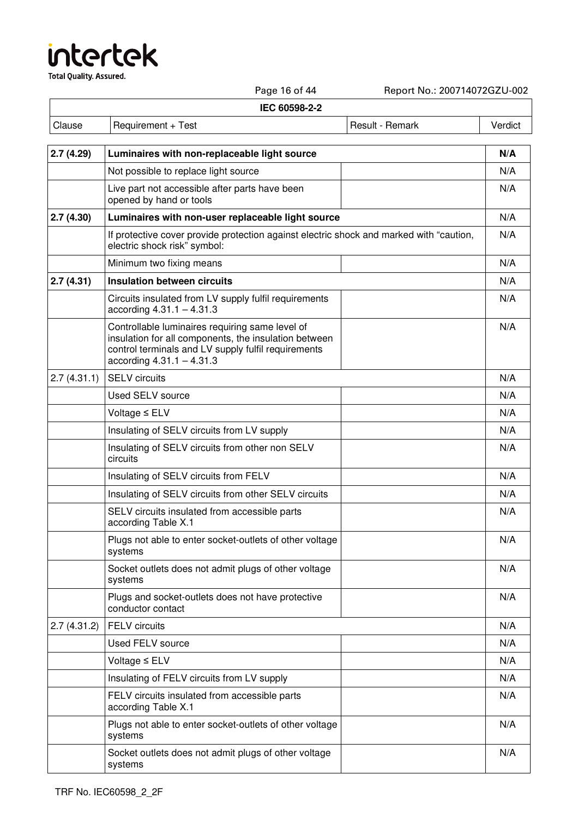**Total Quality. Assured.** 

 $\overline{\phantom{a}}$ 

Page 16 of 44 Report No.: 200714072GZU-002

٦

|              | -ג-סצכטס טבו                                 |                         |         |
|--------------|----------------------------------------------|-------------------------|---------|
| $\cap$ lause | ⊺est<br>-----<br>⊣ലി<br>uurement<br><b>+</b> | Remark<br><b>Result</b> | /erdict |

| 2.7(4.29)   | Luminaires with non-replaceable light source                                                                                                                                                   |     |
|-------------|------------------------------------------------------------------------------------------------------------------------------------------------------------------------------------------------|-----|
|             | Not possible to replace light source                                                                                                                                                           | N/A |
|             | Live part not accessible after parts have been<br>opened by hand or tools                                                                                                                      | N/A |
| 2.7(4.30)   | Luminaires with non-user replaceable light source                                                                                                                                              | N/A |
|             | If protective cover provide protection against electric shock and marked with "caution,<br>electric shock risk" symbol:                                                                        | N/A |
|             | Minimum two fixing means                                                                                                                                                                       | N/A |
| 2.7(4.31)   | <b>Insulation between circuits</b>                                                                                                                                                             | N/A |
|             | Circuits insulated from LV supply fulfil requirements<br>according $4.31.1 - 4.31.3$                                                                                                           | N/A |
|             | Controllable luminaires requiring same level of<br>insulation for all components, the insulation between<br>control terminals and LV supply fulfil requirements<br>according $4.31.1 - 4.31.3$ | N/A |
| 2.7(4.31.1) | <b>SELV</b> circuits                                                                                                                                                                           | N/A |
|             | Used SELV source                                                                                                                                                                               | N/A |
|             | Voltage $\leq$ ELV                                                                                                                                                                             | N/A |
|             | Insulating of SELV circuits from LV supply                                                                                                                                                     | N/A |
|             | Insulating of SELV circuits from other non SELV<br>circuits                                                                                                                                    | N/A |
|             | Insulating of SELV circuits from FELV                                                                                                                                                          | N/A |
|             | Insulating of SELV circuits from other SELV circuits                                                                                                                                           | N/A |
|             | SELV circuits insulated from accessible parts<br>according Table X.1                                                                                                                           | N/A |
|             | Plugs not able to enter socket-outlets of other voltage<br>systems                                                                                                                             | N/A |
|             | Socket outlets does not admit plugs of other voltage<br>systems                                                                                                                                | N/A |
|             | Plugs and socket-outlets does not have protective<br>conductor contact                                                                                                                         | N/A |
| 2.7(4.31.2) | <b>FELV</b> circuits                                                                                                                                                                           | N/A |
|             | Used FELV source                                                                                                                                                                               | N/A |
|             | Voltage $\leq$ ELV                                                                                                                                                                             | N/A |
|             | Insulating of FELV circuits from LV supply                                                                                                                                                     | N/A |
|             | FELV circuits insulated from accessible parts<br>according Table X.1                                                                                                                           | N/A |
|             | Plugs not able to enter socket-outlets of other voltage<br>systems                                                                                                                             | N/A |
|             | Socket outlets does not admit plugs of other voltage<br>systems                                                                                                                                | N/A |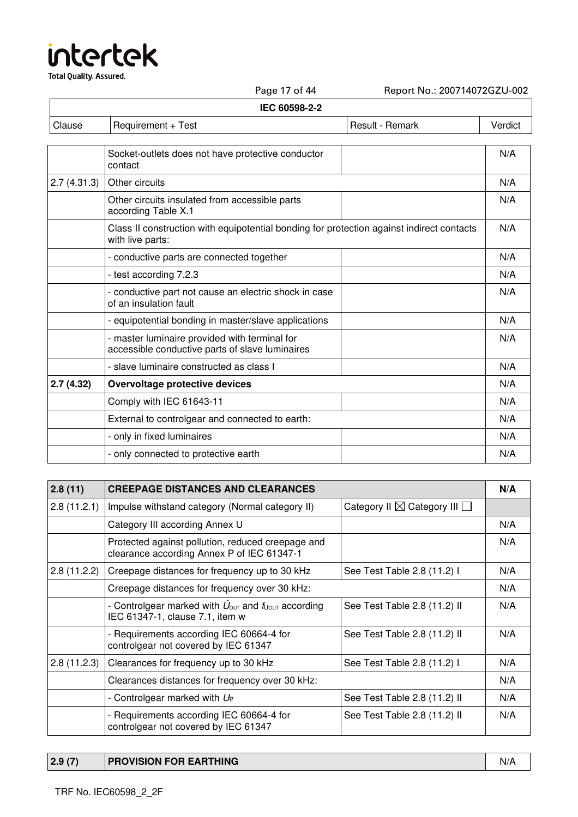| intertek |  |  |
|----------|--|--|
|          |  |  |

 $\overline{\Gamma}$ 

Page 17 of 44 Report No.: 200714072GZU-002

### **IEC 60598-2-2**

|                    | IEC 00090-2-2 |        |       |
|--------------------|---------------|--------|-------|
| <sup>o</sup> lause | est           | Hemark | - - - |
|                    | Hequirement + | Result | uic.  |

|             | Socket-outlets does not have protective conductor<br>contact                                                  | N/A |
|-------------|---------------------------------------------------------------------------------------------------------------|-----|
| 2.7(4.31.3) | Other circuits                                                                                                | N/A |
|             | Other circuits insulated from accessible parts<br>according Table X.1                                         | N/A |
|             | Class II construction with equipotential bonding for protection against indirect contacts<br>with live parts: | N/A |
|             | - conductive parts are connected together                                                                     | N/A |
|             | - test according 7.2.3                                                                                        | N/A |
|             | - conductive part not cause an electric shock in case<br>of an insulation fault                               | N/A |
|             | - equipotential bonding in master/slave applications                                                          | N/A |
|             | - master luminaire provided with terminal for<br>accessible conductive parts of slave luminaires              | N/A |
|             | - slave luminaire constructed as class I                                                                      | N/A |
| 2.7(4.32)   | Overvoltage protective devices                                                                                | N/A |
|             | Comply with IEC 61643-11                                                                                      | N/A |
|             | External to controlgear and connected to earth:                                                               | N/A |
|             | - only in fixed luminaires                                                                                    | N/A |
|             | - only connected to protective earth                                                                          | N/A |

| 2.8(11)     | <b>CREEPAGE DISTANCES AND CLEARANCES</b>                                                                           |                                             | N/A |
|-------------|--------------------------------------------------------------------------------------------------------------------|---------------------------------------------|-----|
| 2.8(11.2.1) | Impulse withstand category (Normal category II)                                                                    | Category II $\boxtimes$ Category III $\Box$ |     |
|             | Category III according Annex U                                                                                     |                                             | N/A |
|             | Protected against pollution, reduced creepage and<br>clearance according Annex P of IEC 61347-1                    |                                             | N/A |
| 2.8(11.2.2) | Creepage distances for frequency up to 30 kHz                                                                      | See Test Table 2.8 (11.2) I                 | N/A |
|             | Creepage distances for frequency over 30 kHz:                                                                      |                                             | N/A |
|             | - Controlgear marked with $\hat{U}_{\text{OUT}}$ and $f_{\text{OUT}}$ according<br>IEC 61347-1, clause 7.1, item w | See Test Table 2.8 (11.2) II                | N/A |
|             | - Requirements according IEC 60664-4 for<br>controlgear not covered by IEC 61347                                   | See Test Table 2.8 (11.2) II                | N/A |
| 2.8(11.2.3) | Clearances for frequency up to 30 kHz                                                                              | See Test Table 2.8 (11.2) I                 | N/A |
|             | Clearances distances for frequency over 30 kHz:                                                                    |                                             | N/A |
|             | - Controlgear marked with $U_P$                                                                                    | See Test Table 2.8 (11.2) II                | N/A |
|             | - Requirements according IEC 60664-4 for<br>controlgear not covered by IEC 61347                                   | See Test Table 2.8 (11.2) II                | N/A |

## **2.9 (7) PROVISION FOR EARTHING N/A**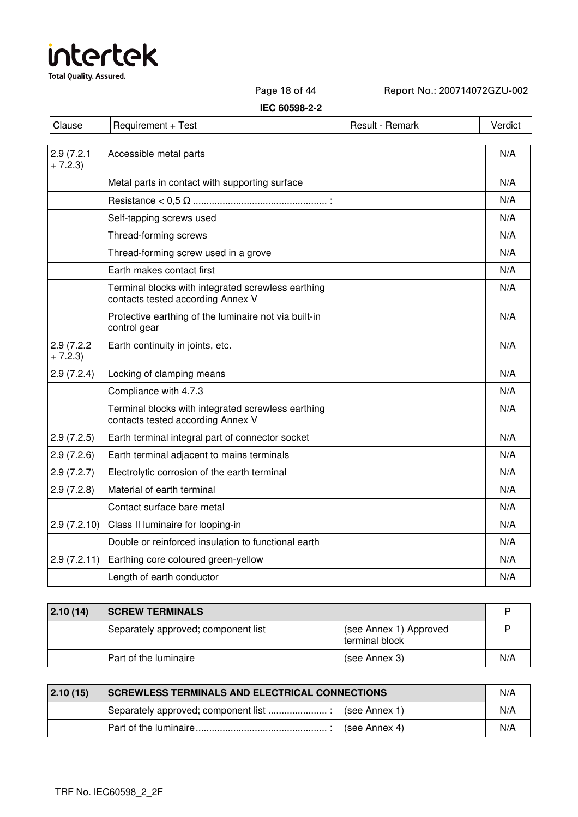|  | intertek |  |
|--|----------|--|
|  |          |  |

Page 18 of 44 Report No.: 200714072GZU-002

| IEC 60598-2-2 |                    |                   |         |
|---------------|--------------------|-------------------|---------|
| Clause        | Requirement + Test | l Result - Remark | Verdict |
|               |                    |                   |         |

| 2.9(7.2.1)<br>$+ 7.2.3$ | Accessible metal parts                                                                  | N/A |
|-------------------------|-----------------------------------------------------------------------------------------|-----|
|                         | Metal parts in contact with supporting surface                                          | N/A |
|                         |                                                                                         | N/A |
|                         | Self-tapping screws used                                                                | N/A |
|                         | Thread-forming screws                                                                   | N/A |
|                         | Thread-forming screw used in a grove                                                    | N/A |
|                         | Earth makes contact first                                                               | N/A |
|                         | Terminal blocks with integrated screwless earthing<br>contacts tested according Annex V | N/A |
|                         | Protective earthing of the luminaire not via built-in<br>control gear                   | N/A |
| 2.9(7.2.2)<br>$+ 7.2.3$ | Earth continuity in joints, etc.                                                        | N/A |
| 2.9(7.2.4)              | Locking of clamping means                                                               | N/A |
|                         | Compliance with 4.7.3                                                                   | N/A |
|                         | Terminal blocks with integrated screwless earthing<br>contacts tested according Annex V | N/A |
| 2.9(7.2.5)              | Earth terminal integral part of connector socket                                        | N/A |
| 2.9(7.2.6)              | Earth terminal adjacent to mains terminals                                              | N/A |
| 2.9(7.2.7)              | Electrolytic corrosion of the earth terminal                                            | N/A |
| 2.9(7.2.8)              | Material of earth terminal                                                              | N/A |
|                         | Contact surface bare metal                                                              | N/A |
| 2.9(7.2.10)             | Class II luminaire for looping-in                                                       | N/A |
|                         | Double or reinforced insulation to functional earth                                     | N/A |
| 2.9(7.2.11)             | Earthing core coloured green-yellow                                                     | N/A |
|                         | Length of earth conductor                                                               | N/A |

| 2.10(14) | <b>SCREW TERMINALS</b>              |                                          |     |
|----------|-------------------------------------|------------------------------------------|-----|
|          | Separately approved; component list | (see Annex 1) Approved<br>terminal block |     |
|          | Part of the luminaire               | (see Annex 3)                            | N/A |

| 2.10(15) | <b>SCREWLESS TERMINALS AND ELECTRICAL CONNECTIONS</b> |               | N/A |
|----------|-------------------------------------------------------|---------------|-----|
|          |                                                       |               | N/A |
|          |                                                       | (see Annex 4) | N/A |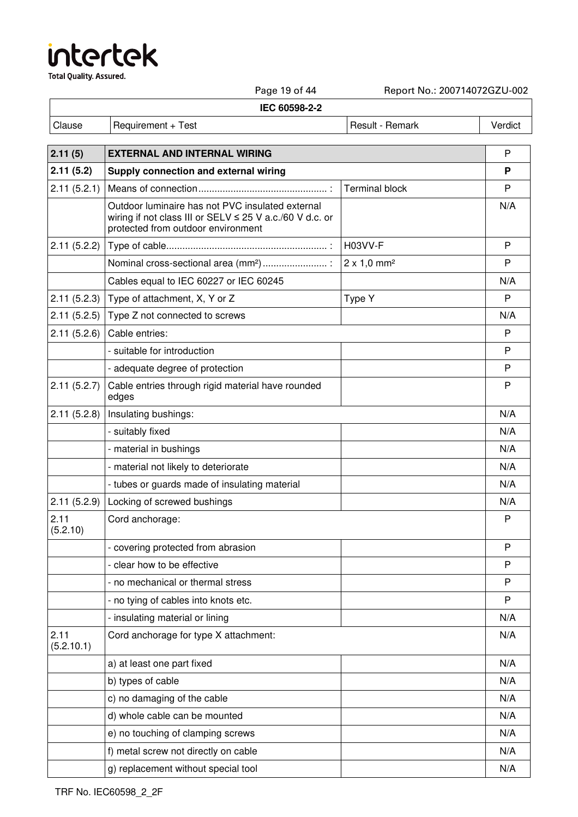**Total Quality. Assured.** 

 $\overline{\phantom{a}}$ 

Page 19 of 44 Report No.: 200714072GZU-002

٦

|               | IEU 00090-Z-Z           |                 |        |
|---------------|-------------------------|-----------------|--------|
| <b>Clause</b> | ēst<br>Requirement<br>÷ | ⊰emark<br>Resul | erdict |

| 2.11(5)            | <b>EXTERNAL AND INTERNAL WIRING</b>                                                                                                                |                             | P   |
|--------------------|----------------------------------------------------------------------------------------------------------------------------------------------------|-----------------------------|-----|
| 2.11(5.2)          | Supply connection and external wiring                                                                                                              |                             | P   |
| 2.11(5.2.1)        |                                                                                                                                                    | <b>Terminal block</b>       | P   |
|                    | Outdoor luminaire has not PVC insulated external<br>wiring if not class III or SELV ≤ 25 V a.c./60 V d.c. or<br>protected from outdoor environment |                             | N/A |
| 2.11(5.2.2)        |                                                                                                                                                    | H03VV-F                     | P   |
|                    | Nominal cross-sectional area (mm <sup>2</sup> )                                                                                                    | $2 \times 1,0 \text{ mm}^2$ | P   |
|                    | Cables equal to IEC 60227 or IEC 60245                                                                                                             |                             | N/A |
| 2.11(5.2.3)        | Type of attachment, X, Y or Z                                                                                                                      | Type Y                      | P   |
| 2.11(5.2.5)        | Type Z not connected to screws                                                                                                                     |                             | N/A |
| 2.11(5.2.6)        | Cable entries:                                                                                                                                     |                             | P   |
|                    | - suitable for introduction                                                                                                                        |                             | P   |
|                    | - adequate degree of protection                                                                                                                    |                             | P   |
| 2.11(5.2.7)        | Cable entries through rigid material have rounded<br>edges                                                                                         |                             | P   |
| 2.11(5.2.8)        | Insulating bushings:                                                                                                                               |                             | N/A |
|                    | - suitably fixed                                                                                                                                   |                             | N/A |
|                    | - material in bushings                                                                                                                             |                             | N/A |
|                    | - material not likely to deteriorate                                                                                                               |                             | N/A |
|                    | - tubes or guards made of insulating material                                                                                                      |                             | N/A |
| 2.11(5.2.9)        | Locking of screwed bushings                                                                                                                        |                             | N/A |
| 2.11<br>(5.2.10)   | Cord anchorage:                                                                                                                                    |                             | P   |
|                    | - covering protected from abrasion                                                                                                                 |                             | P   |
|                    | - clear how to be effective                                                                                                                        |                             | P   |
|                    | - no mechanical or thermal stress                                                                                                                  |                             | P   |
|                    | - no tying of cables into knots etc.                                                                                                               |                             | P   |
|                    | - insulating material or lining                                                                                                                    |                             | N/A |
| 2.11<br>(5.2.10.1) | Cord anchorage for type X attachment:                                                                                                              |                             | N/A |
|                    | a) at least one part fixed                                                                                                                         |                             | N/A |
|                    | b) types of cable                                                                                                                                  |                             | N/A |
|                    | c) no damaging of the cable                                                                                                                        |                             | N/A |
|                    | d) whole cable can be mounted                                                                                                                      |                             | N/A |
|                    | e) no touching of clamping screws                                                                                                                  |                             | N/A |
|                    | f) metal screw not directly on cable                                                                                                               |                             | N/A |
|                    | g) replacement without special tool                                                                                                                |                             | N/A |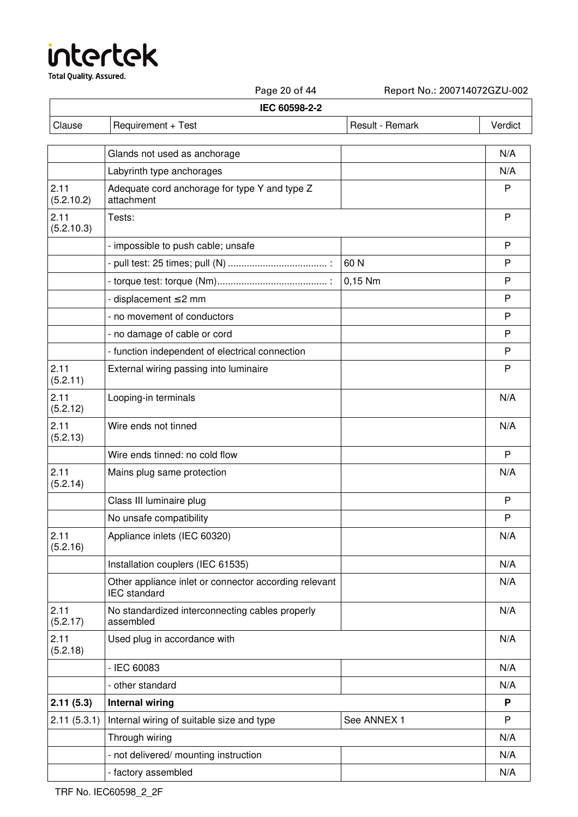Itertek

**Total Quality. Assured** 

Page 20 of 44 Report No.: 200714072GZU-002 **IEC 60598-2-2**  Clause Requirement + Test Result - Result - Remark Remark Verdict Glands not used as anchorage N/A N/A Labyrinth type anchorages N/A N/A 2.11 (5.2.10.2) Adequate cord anchorage for type Y and type Z attachment P 2.11 (5.2.10.3) Tests: P - impossible to push cable; unsafe Person Number 2014 Person Number 2014 Person Number 2014 Person Number 2014 - pull test: 25 times; pull (N) ..................................... : 60 N P - torque test: torque (Nm) ......................................... : 0,15 Nm P - displacement ≤ 2 mm P - no movement of conductors **Participate in the conductors** Perturbation of the participate in the participate of  $\mathsf{P}$ - no damage of cable or cord P and P and P and P and P and P and P and P and P and P and P and P and P and P and P and P and P and P and P and P and P and P and P and P and P and P and P and P and P and P and P and P and P - function independent of electrical connection P and P and P and P and P and P and P and P and P and P and P and P and P and P and P and P and P and P and P and P and P and P and P and P and P and P and P and P and P and 2.11 (5.2.11) External wiring passing into luminaire **Property** P 2.11 (5.2.12) Looping-in terminals N/A 2.11 (5.2.13) Wire ends not tinned N/A Wire ends tinned: no cold flow **P** P 2.11 (5.2.14) Mains plug same protection N/A Class III luminaire plug et al. et al. et al. et al. et al. et al. et al. et al. et al. et al. et al. et al. e No unsafe compatibility **P** 2.11 (5.2.16) Appliance inlets (IEC 60320) N/A Installation couplers (IEC 61535) N/A Other appliance inlet or connector according relevant IEC standard N/A 2.11 (5.2.17) No standardized interconnecting cables properly assembled N/A 2.11 (5.2.18) Used plug in accordance with N/A  $\vert$  - IEC 60083 N/A  $\vert$  - IEC 60083 - other standard N/A **2.11 (5.3) Internal wiring P 2.11 (5.3) P P**  $2.11$  (5.3.1) Internal wiring of suitable size and type  $\vert$  See ANNEX 1 P Through wiring N/A - not delivered/ mounting instruction N/A

- factory assembled N/A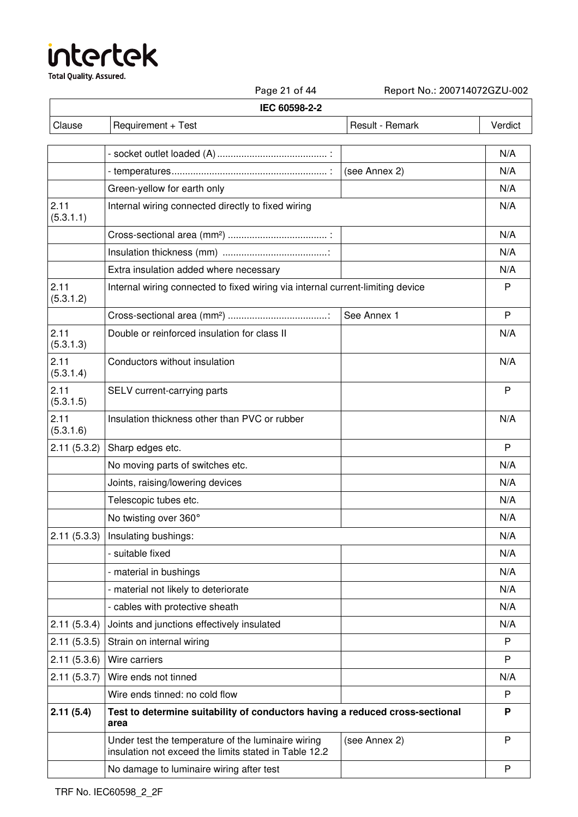| intertek |  |  |
|----------|--|--|
|          |  |  |

 $\Gamma$ 

Page 21 of 44 Report No.: 200714072GZU-002

٦

| Clause<br>⊺est<br>Resull<br>auırement<br>RΑ<br>ᅩ | Hemark<br>lerdir |
|--------------------------------------------------|------------------|

|                   |                                                                                                             |               | N/A |
|-------------------|-------------------------------------------------------------------------------------------------------------|---------------|-----|
|                   |                                                                                                             | (see Annex 2) | N/A |
|                   | Green-yellow for earth only                                                                                 |               | N/A |
| 2.11<br>(5.3.1.1) | Internal wiring connected directly to fixed wiring                                                          |               | N/A |
|                   |                                                                                                             |               | N/A |
|                   |                                                                                                             |               | N/A |
|                   | Extra insulation added where necessary                                                                      |               | N/A |
| 2.11<br>(5.3.1.2) | Internal wiring connected to fixed wiring via internal current-limiting device                              |               | P   |
|                   |                                                                                                             | See Annex 1   | P   |
| 2.11<br>(5.3.1.3) | Double or reinforced insulation for class II                                                                |               | N/A |
| 2.11<br>(5.3.1.4) | Conductors without insulation                                                                               |               | N/A |
| 2.11<br>(5.3.1.5) | SELV current-carrying parts                                                                                 |               | P   |
| 2.11<br>(5.3.1.6) | Insulation thickness other than PVC or rubber                                                               |               | N/A |
| 2.11(5.3.2)       | Sharp edges etc.                                                                                            |               | P   |
|                   | No moving parts of switches etc.                                                                            |               | N/A |
|                   | Joints, raising/lowering devices                                                                            |               | N/A |
|                   | Telescopic tubes etc.                                                                                       |               | N/A |
|                   | No twisting over 360°                                                                                       |               | N/A |
| 2.11(5.3.3)       | Insulating bushings:                                                                                        |               | N/A |
|                   | - suitable fixed                                                                                            |               | N/A |
|                   | - material in bushings                                                                                      |               | N/A |
|                   | - material not likely to deteriorate                                                                        |               | N/A |
|                   | - cables with protective sheath                                                                             |               | N/A |
| 2.11(5.3.4)       | Joints and junctions effectively insulated                                                                  |               | N/A |
| 2.11(5.3.5)       | Strain on internal wiring                                                                                   |               | P   |
| 2.11(5.3.6)       | Wire carriers                                                                                               |               | P   |
| 2.11(5.3.7)       | Wire ends not tinned                                                                                        |               | N/A |
|                   | Wire ends tinned: no cold flow                                                                              |               | P   |
| 2.11(5.4)         | Test to determine suitability of conductors having a reduced cross-sectional<br>area                        |               | P   |
|                   | Under test the temperature of the luminaire wiring<br>insulation not exceed the limits stated in Table 12.2 | (see Annex 2) | P   |
|                   | No damage to luminaire wiring after test                                                                    |               | P   |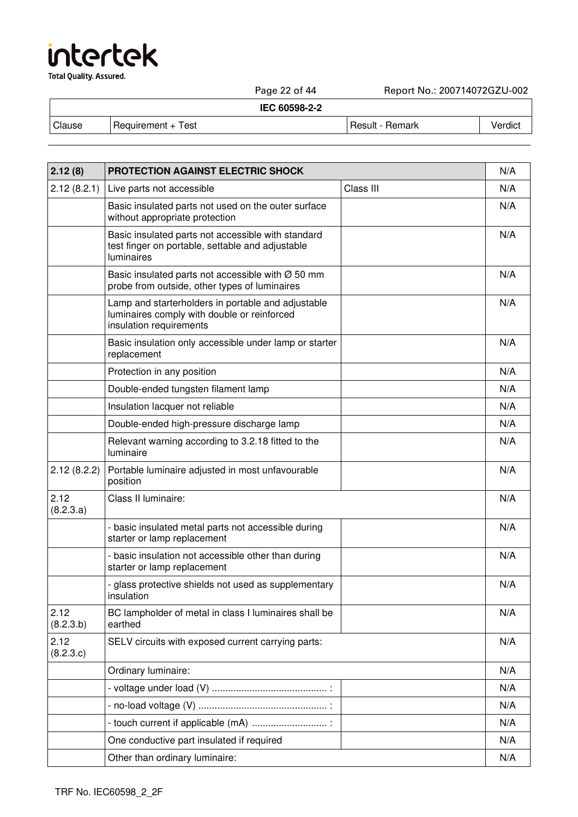**Total Quality. Assured.** 

Page 22 of 44 Report No.: 200714072GZU-002

#### **IEC 60598-2-2**

Clause | Requirement + Test Result - Result - Remark | Verdict

| 2.12(8)           | PROTECTION AGAINST ELECTRIC SHOCK                                                                                            |           | N/A |
|-------------------|------------------------------------------------------------------------------------------------------------------------------|-----------|-----|
| 2.12(8.2.1)       | Live parts not accessible                                                                                                    | Class III | N/A |
|                   | Basic insulated parts not used on the outer surface<br>without appropriate protection                                        |           | N/A |
|                   | Basic insulated parts not accessible with standard<br>test finger on portable, settable and adjustable<br>luminaires         |           | N/A |
|                   | Basic insulated parts not accessible with $\varnothing$ 50 mm<br>probe from outside, other types of luminaires               |           | N/A |
|                   | Lamp and starterholders in portable and adjustable<br>luminaires comply with double or reinforced<br>insulation requirements |           | N/A |
|                   | Basic insulation only accessible under lamp or starter<br>replacement                                                        |           | N/A |
|                   | Protection in any position                                                                                                   |           | N/A |
|                   | Double-ended tungsten filament lamp                                                                                          |           | N/A |
|                   | Insulation lacquer not reliable                                                                                              |           | N/A |
|                   | Double-ended high-pressure discharge lamp                                                                                    |           | N/A |
|                   | Relevant warning according to 3.2.18 fitted to the<br>luminaire                                                              |           | N/A |
| 2.12(8.2.2)       | Portable luminaire adjusted in most unfavourable<br>position                                                                 |           | N/A |
| 2.12<br>(8.2.3.a) | Class II luminaire:                                                                                                          |           | N/A |
|                   | - basic insulated metal parts not accessible during<br>starter or lamp replacement                                           |           | N/A |
|                   | - basic insulation not accessible other than during<br>starter or lamp replacement                                           |           | N/A |
|                   | - glass protective shields not used as supplementary<br>insulation                                                           |           | N/A |
| 2.12<br>(8.2.3.b) | BC lampholder of metal in class I luminaires shall be<br>earthed                                                             |           | N/A |
| 2.12<br>(8.2.3.c) | SELV circuits with exposed current carrying parts:                                                                           |           | N/A |
|                   | Ordinary luminaire:                                                                                                          |           | N/A |
|                   |                                                                                                                              |           | N/A |
|                   |                                                                                                                              |           | N/A |
|                   | - touch current if applicable (mA)                                                                                           |           | N/A |
|                   | One conductive part insulated if required                                                                                    |           | N/A |
|                   | Other than ordinary luminaire:                                                                                               |           | N/A |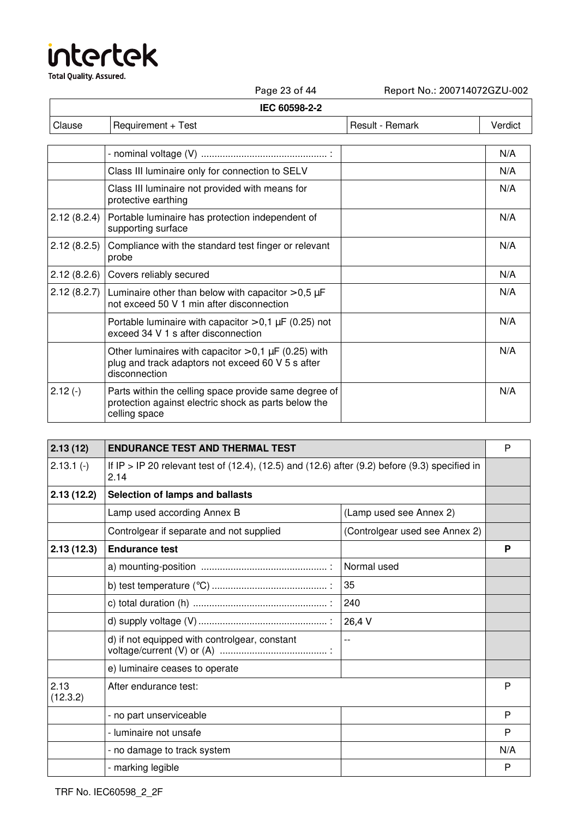

Page 23 of 44 Report No.: 200714072GZU-002

| IEC 60598-2-2 |                    |                 |         |
|---------------|--------------------|-----------------|---------|
| Clause        | Requirement + Test | Result - Remark | Verdict |

|             |                                                                                                                                 | N/A |
|-------------|---------------------------------------------------------------------------------------------------------------------------------|-----|
|             | Class III luminaire only for connection to SELV                                                                                 | N/A |
|             | Class III luminaire not provided with means for<br>protective earthing                                                          | N/A |
| 2.12(8.2.4) | Portable luminaire has protection independent of<br>supporting surface                                                          | N/A |
| 2.12(8.2.5) | Compliance with the standard test finger or relevant<br>probe                                                                   | N/A |
| 2.12(8.2.6) | Covers reliably secured                                                                                                         | N/A |
|             | 2.12 (8.2.7) Luminaire other than below with capacitor > $0.5 \mu$ F<br>not exceed 50 V 1 min after disconnection               | N/A |
|             | Portable luminaire with capacitor $> 0.1 \mu$ F (0.25) not<br>exceed 34 V 1 s after disconnection                               | N/A |
|             | Other luminaires with capacitor $> 0.1 \mu$ F (0.25) with<br>plug and track adaptors not exceed 60 V 5 s after<br>disconnection | N/A |
| $2.12(-)$   | Parts within the celling space provide same degree of<br>protection against electric shock as parts below the<br>celling space  | N/A |

| 2.13(12)         | <b>ENDURANCE TEST AND THERMAL TEST</b>        |                                                                                                           | P   |
|------------------|-----------------------------------------------|-----------------------------------------------------------------------------------------------------------|-----|
| $2.13.1(-)$      | 2.14                                          | If IP > IP 20 relevant test of $(12.4)$ , $(12.5)$ and $(12.6)$ after $(9.2)$ before $(9.3)$ specified in |     |
| 2.13(12.2)       | Selection of lamps and ballasts               |                                                                                                           |     |
|                  | Lamp used according Annex B                   | (Lamp used see Annex 2)                                                                                   |     |
|                  | Controlgear if separate and not supplied      | (Controlgear used see Annex 2)                                                                            |     |
| 2.13(12.3)       | <b>Endurance test</b>                         |                                                                                                           | P   |
|                  |                                               | Normal used                                                                                               |     |
|                  |                                               | 35                                                                                                        |     |
|                  |                                               | 240                                                                                                       |     |
|                  |                                               | 26,4 V                                                                                                    |     |
|                  | d) if not equipped with controlgear, constant | $-$                                                                                                       |     |
|                  | e) luminaire ceases to operate                |                                                                                                           |     |
| 2.13<br>(12.3.2) | After endurance test:                         |                                                                                                           | P   |
|                  | - no part unserviceable                       |                                                                                                           | P   |
|                  | - luminaire not unsafe                        |                                                                                                           | P   |
|                  | - no damage to track system                   |                                                                                                           | N/A |
|                  | - marking legible                             |                                                                                                           | P   |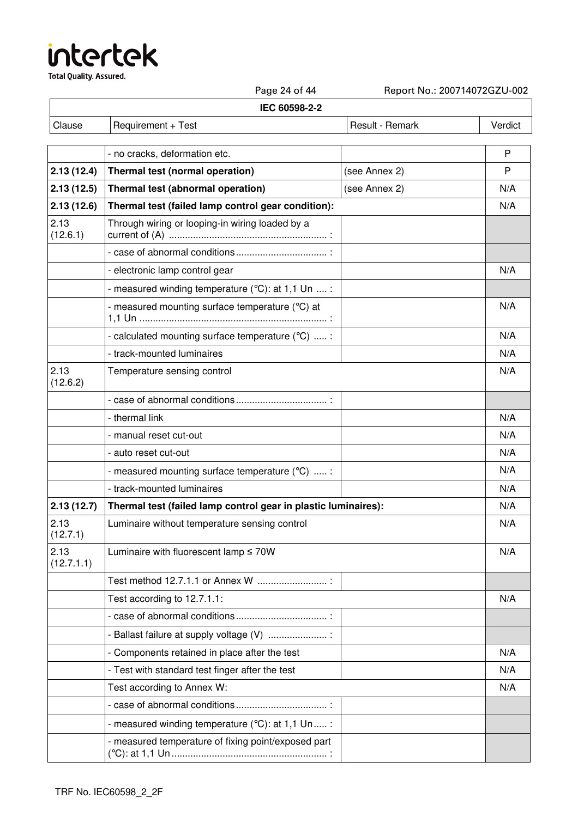**Total Quality. Assured.** Page 24 of 44 Report No.: 200714072GZU-002 **IEC 60598-2-2**  Clause Requirement + Test Result - Result - Remark Remark Verdict - no cracks, deformation etc.  $\qquad \qquad \qquad$  P **2.13 (12.4) Thermal test (normal operation) and is a set of the set of the set of proper**  $\vert$  P **2.13 (12.5)** Thermal test (abnormal operation)  $|\text{ (see Annex 2)}|$  N/A **2.13 (12.6)** Thermal test (failed lamp control gear condition):  $N/A$ 2.13 Through wiring or looping-in wiring loaded by a  $\frac{1}{2}$ current of (A) ........................................................... : (12.6.1) - case of abnormal conditions .................................. : - electronic lamp control gear N/A - measured winding temperature (°C): at 1,1 Un  $\ldots$  :  $\vert$ - measured mounting surface temperature (°C) at N/A 1,1 Un ...................................................................... : - calculated mounting surface temperature (°C) ..... : | - track-mounted luminaires N/A 2.13 Temperature sensing control N/A (12.6.2) - case of abnormal conditions .................................. :

|                    | - thermal link                                                 | N/A |
|--------------------|----------------------------------------------------------------|-----|
|                    | - manual reset cut-out                                         | N/A |
|                    | - auto reset cut-out                                           | N/A |
|                    | - measured mounting surface temperature (°C)  :                | N/A |
|                    | - track-mounted luminaires                                     | N/A |
| 2.13(12.7)         | Thermal test (failed lamp control gear in plastic luminaires): | N/A |
| 2.13<br>(12.7.1)   | Luminaire without temperature sensing control                  | N/A |
| 2.13<br>(12.7.1.1) | Luminaire with fluorescent lamp $\leq 70W$                     | N/A |
|                    | Test method 12.7.1.1 or Annex W                                |     |
|                    | Test according to 12.7.1.1:                                    | N/A |
|                    |                                                                |     |
|                    | - Ballast failure at supply voltage (V)  :                     |     |
|                    | - Components retained in place after the test                  | N/A |
|                    | - Test with standard test finger after the test                | N/A |
|                    | Test according to Annex W:                                     | N/A |
|                    |                                                                |     |
|                    | - measured winding temperature $(^{\circ}C)$ : at 1,1 Un :     |     |
|                    | - measured temperature of fixing point/exposed part            |     |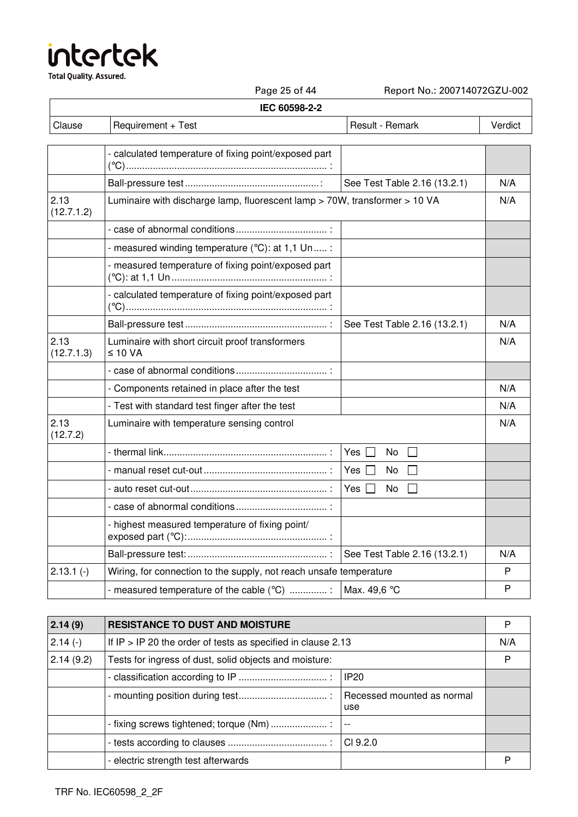**Total Quality. Assured.** 

Page 25 of 44 Report No.: 200714072GZU-002

|        | ב-טיטיטי טבו |                           |   |
|--------|--------------|---------------------------|---|
| Clause | ēst<br>---   | emark<br>$1 - 11$<br>ייחר | . |

|                    | - calculated temperature of fixing point/exposed part                      |                              |     |
|--------------------|----------------------------------------------------------------------------|------------------------------|-----|
|                    |                                                                            | See Test Table 2.16 (13.2.1) | N/A |
| 2.13<br>(12.7.1.2) | Luminaire with discharge lamp, fluorescent lamp > 70W, transformer > 10 VA |                              | N/A |
|                    |                                                                            |                              |     |
|                    | - measured winding temperature ( $^{\circ}$ C): at 1,1 Un :                |                              |     |
|                    | - measured temperature of fixing point/exposed part                        |                              |     |
|                    | - calculated temperature of fixing point/exposed part                      |                              |     |
|                    |                                                                            | See Test Table 2.16 (13.2.1) | N/A |
| 2.13<br>(12.7.1.3) | Luminaire with short circuit proof transformers<br>$\leq 10$ VA            |                              | N/A |
|                    |                                                                            |                              |     |
|                    | - Components retained in place after the test                              |                              | N/A |
|                    | - Test with standard test finger after the test                            |                              | N/A |
| 2.13<br>(12.7.2)   | Luminaire with temperature sensing control                                 |                              | N/A |
|                    |                                                                            | Yes  <br><b>No</b>           |     |
|                    |                                                                            | Yes  <br>No.                 |     |
|                    |                                                                            | Yes I<br><b>No</b>           |     |
|                    |                                                                            |                              |     |
|                    | - highest measured temperature of fixing point/                            |                              |     |
|                    |                                                                            | See Test Table 2.16 (13.2.1) | N/A |
| $2.13.1(-)$        | Wiring, for connection to the supply, not reach unsafe temperature         |                              | P   |
|                    | - measured temperature of the cable (°C)                                   | Max. 49,6 °C                 | P   |

| 2.14(9)   | <b>RESISTANCE TO DUST AND MOISTURE</b>                         |                                   |     |
|-----------|----------------------------------------------------------------|-----------------------------------|-----|
| $2.14(-)$ | If IP $>$ IP 20 the order of tests as specified in clause 2.13 |                                   | N/A |
| 2.14(9.2) | Tests for ingress of dust, solid objects and moisture:         |                                   |     |
|           |                                                                | $\overline{\phantom{1}}$ IP20     |     |
|           |                                                                | Recessed mounted as normal<br>use |     |
|           |                                                                | $-$                               |     |
|           |                                                                | CI 9.2.0                          |     |
|           | - electric strength test afterwards                            |                                   |     |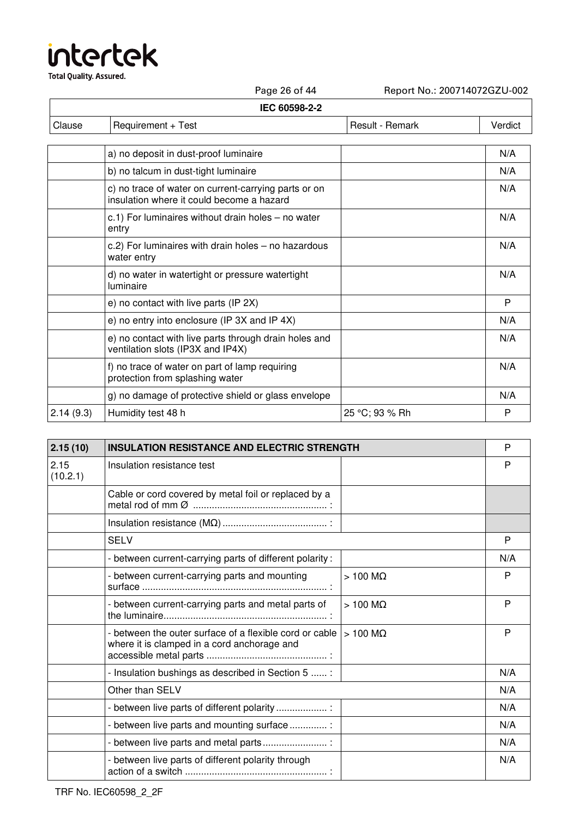| intertek |  |  |
|----------|--|--|
|          |  |  |

Page 26 of 44 Report No.: 200714072GZU-002

| IEC 60598-2-2 |                       |                 |         |  |
|---------------|-----------------------|-----------------|---------|--|
| <b>Clause</b> | ∣est<br>Hequirement + | Result - Remark | Verdict |  |

|           | a) no deposit in dust-proof luminaire                                                             |                | N/A |
|-----------|---------------------------------------------------------------------------------------------------|----------------|-----|
|           | b) no talcum in dust-tight luminaire                                                              |                | N/A |
|           | c) no trace of water on current-carrying parts or on<br>insulation where it could become a hazard |                | N/A |
|           | c.1) For luminaires without drain holes – no water<br>entry                                       |                | N/A |
|           | c.2) For luminaires with drain holes – no hazardous<br>water entry                                |                | N/A |
|           | d) no water in watertight or pressure watertight<br>luminaire                                     |                | N/A |
|           | e) no contact with live parts (IP 2X)                                                             |                | P   |
|           | e) no entry into enclosure (IP 3X and IP 4X)                                                      |                | N/A |
|           | e) no contact with live parts through drain holes and<br>ventilation slots (IP3X and IP4X)        |                | N/A |
|           | f) no trace of water on part of lamp requiring<br>protection from splashing water                 |                | N/A |
|           | g) no damage of protective shield or glass envelope                                               |                | N/A |
| 2.14(9.3) | Humidity test 48 h                                                                                | 25 °C; 93 % Rh | P   |

| 2.15(10)         | <b>INSULATION RESISTANCE AND ELECTRIC STRENGTH</b>                                                     |                   | P   |
|------------------|--------------------------------------------------------------------------------------------------------|-------------------|-----|
| 2.15<br>(10.2.1) | Insulation resistance test                                                                             |                   | P   |
|                  | Cable or cord covered by metal foil or replaced by a                                                   |                   |     |
|                  |                                                                                                        |                   |     |
|                  | <b>SELV</b>                                                                                            |                   | P   |
|                  | - between current-carrying parts of different polarity:                                                |                   | N/A |
|                  | - between current-carrying parts and mounting                                                          | $>100$ M $\Omega$ | P   |
|                  | - between current-carrying parts and metal parts of                                                    | $>100$ M $\Omega$ | P   |
|                  | - between the outer surface of a flexible cord or cable<br>where it is clamped in a cord anchorage and | $>100$ M $\Omega$ | P   |
|                  | - Insulation bushings as described in Section 5  :                                                     |                   | N/A |
|                  | Other than SELV                                                                                        |                   | N/A |
|                  | - between live parts of different polarity  :                                                          |                   | N/A |
|                  | - between live parts and mounting surface                                                              |                   | N/A |
|                  |                                                                                                        |                   | N/A |
|                  | - between live parts of different polarity through                                                     |                   | N/A |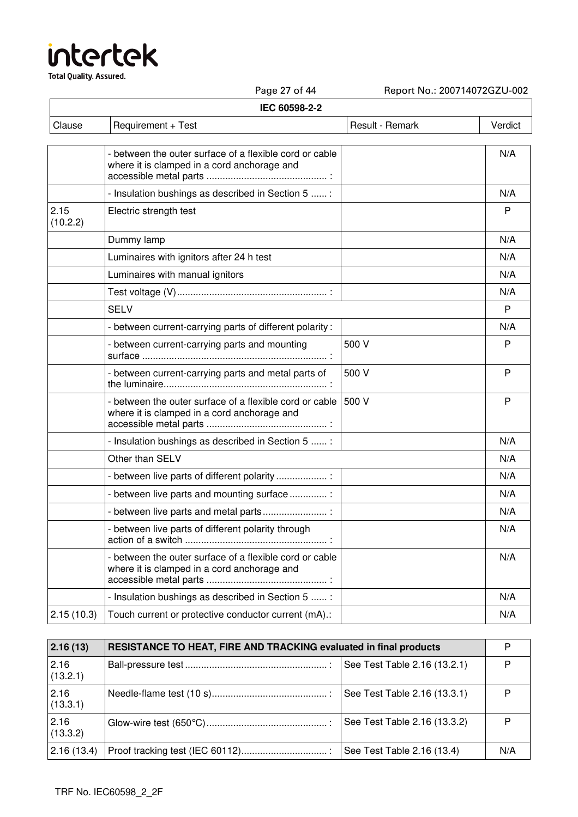| intertek |  |  |
|----------|--|--|
|          |  |  |

Page 27 of 44 Report No.: 200714072GZU-002

| IEC 60598-2-2 |                    |                 |         |  |
|---------------|--------------------|-----------------|---------|--|
| Clause        | Requirement + Test | Result - Remark | Verdict |  |
|               |                    |                 |         |  |

|                  | - between the outer surface of a flexible cord or cable<br>where it is clamped in a cord anchorage and |       | N/A |
|------------------|--------------------------------------------------------------------------------------------------------|-------|-----|
|                  | - Insulation bushings as described in Section 5 :                                                      |       | N/A |
| 2.15<br>(10.2.2) | Electric strength test                                                                                 |       | P   |
|                  | Dummy lamp                                                                                             |       | N/A |
|                  | Luminaires with ignitors after 24 h test                                                               |       | N/A |
|                  | Luminaires with manual ignitors                                                                        |       | N/A |
|                  |                                                                                                        |       | N/A |
|                  | <b>SELV</b>                                                                                            |       | P   |
|                  | - between current-carrying parts of different polarity:                                                |       | N/A |
|                  | - between current-carrying parts and mounting                                                          | 500 V | P   |
|                  | - between current-carrying parts and metal parts of                                                    | 500 V | P   |
|                  | - between the outer surface of a flexible cord or cable<br>where it is clamped in a cord anchorage and | 500 V | P   |
|                  | - Insulation bushings as described in Section 5  :                                                     |       | N/A |
|                  | Other than SELV                                                                                        |       | N/A |
|                  | - between live parts of different polarity                                                             |       | N/A |
|                  | - between live parts and mounting surface                                                              |       | N/A |
|                  | - between live parts and metal parts :                                                                 |       | N/A |
|                  | - between live parts of different polarity through                                                     |       | N/A |
|                  | - between the outer surface of a flexible cord or cable<br>where it is clamped in a cord anchorage and |       | N/A |
|                  | - Insulation bushings as described in Section 5  :                                                     |       | N/A |
| 2.15(10.3)       | Touch current or protective conductor current (mA).:                                                   |       | N/A |

| 2.16(13)         | RESISTANCE TO HEAT, FIRE AND TRACKING evaluated in final products |                              |     |
|------------------|-------------------------------------------------------------------|------------------------------|-----|
| 2.16<br>(13.2.1) |                                                                   | See Test Table 2.16 (13.2.1) |     |
| 2.16<br>(13.3.1) |                                                                   | See Test Table 2.16 (13.3.1) |     |
| 2.16<br>(13.3.2) |                                                                   | See Test Table 2.16 (13.3.2) |     |
| 2.16(13.4)       |                                                                   | See Test Table 2.16 (13.4)   | N/A |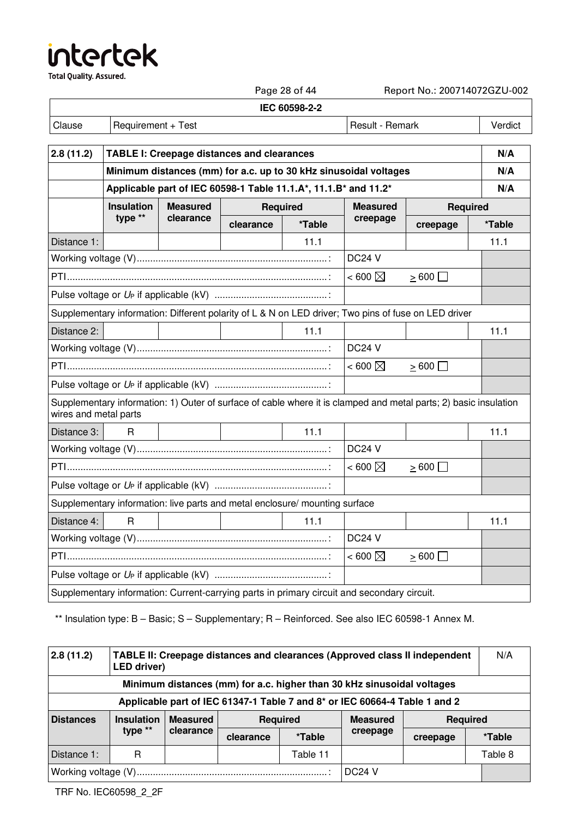|  |  | Total Quality. Assured. |
|--|--|-------------------------|
|--|--|-------------------------|

| ivtai yuality. Assulcu. |                                                                  |                 |                                                                             | Page 28 of 44 |                                                                                             | Report No.: 200714072GZU-002                                                                                     |         |
|-------------------------|------------------------------------------------------------------|-----------------|-----------------------------------------------------------------------------|---------------|---------------------------------------------------------------------------------------------|------------------------------------------------------------------------------------------------------------------|---------|
|                         |                                                                  |                 |                                                                             | IEC 60598-2-2 |                                                                                             |                                                                                                                  |         |
| Clause                  | Requirement + Test                                               |                 |                                                                             |               | Result - Remark                                                                             |                                                                                                                  | Verdict |
| 2.8(11.2)               | <b>TABLE I: Creepage distances and clearances</b>                |                 |                                                                             |               |                                                                                             |                                                                                                                  | N/A     |
|                         | Minimum distances (mm) for a.c. up to 30 kHz sinusoidal voltages |                 |                                                                             |               |                                                                                             |                                                                                                                  | N/A     |
|                         |                                                                  |                 | Applicable part of IEC 60598-1 Table 11.1.A*, 11.1.B* and 11.2*             |               |                                                                                             |                                                                                                                  | N/A     |
|                         | <b>Insulation</b>                                                | <b>Measured</b> |                                                                             | Required      | <b>Measured</b>                                                                             | <b>Required</b>                                                                                                  |         |
|                         | type **                                                          | clearance       | clearance                                                                   | *Table        | creepage                                                                                    | creepage                                                                                                         | *Table  |
| Distance 1:             |                                                                  |                 |                                                                             | 11.1          |                                                                                             |                                                                                                                  | 11.1    |
|                         |                                                                  |                 |                                                                             |               | <b>DC24 V</b>                                                                               |                                                                                                                  |         |
|                         |                                                                  |                 |                                                                             |               | $<$ 600 $\boxtimes$                                                                         | $\geq 600$ $\Box$                                                                                                |         |
|                         |                                                                  |                 |                                                                             |               |                                                                                             |                                                                                                                  |         |
|                         |                                                                  |                 |                                                                             |               |                                                                                             | Supplementary information: Different polarity of L & N on LED driver; Two pins of fuse on LED driver             |         |
| Distance 2:             |                                                                  |                 |                                                                             | 11.1          |                                                                                             |                                                                                                                  | 11.1    |
|                         |                                                                  |                 |                                                                             |               | <b>DC24 V</b>                                                                               |                                                                                                                  |         |
|                         |                                                                  |                 |                                                                             |               | $< 600$ $\boxtimes$                                                                         | $\geq 600$ $\Box$                                                                                                |         |
|                         |                                                                  |                 |                                                                             |               |                                                                                             |                                                                                                                  |         |
| wires and metal parts   |                                                                  |                 |                                                                             |               |                                                                                             | Supplementary information: 1) Outer of surface of cable where it is clamped and metal parts; 2) basic insulation |         |
| Distance 3:             | R.                                                               |                 |                                                                             | 11.1          |                                                                                             |                                                                                                                  | 11.1    |
|                         |                                                                  |                 |                                                                             |               | <b>DC24 V</b>                                                                               |                                                                                                                  |         |
|                         |                                                                  |                 |                                                                             |               | $<$ 600 $\boxtimes$                                                                         | $> 600$ $\Box$                                                                                                   |         |
|                         |                                                                  |                 |                                                                             |               |                                                                                             |                                                                                                                  |         |
|                         |                                                                  |                 | Supplementary information: live parts and metal enclosure/ mounting surface |               |                                                                                             |                                                                                                                  |         |
| Distance 4:             | R                                                                |                 |                                                                             | 11.1          |                                                                                             |                                                                                                                  | 11.1    |
|                         |                                                                  |                 |                                                                             |               | <b>DC24 V</b>                                                                               |                                                                                                                  |         |
|                         |                                                                  |                 |                                                                             |               | $<$ 600 $\boxtimes$                                                                         | $\geq 600$ $\Box$                                                                                                |         |
|                         |                                                                  |                 |                                                                             |               |                                                                                             |                                                                                                                  |         |
|                         |                                                                  |                 |                                                                             |               | Supplementary information: Current-carrying parts in primary circuit and secondary circuit. |                                                                                                                  |         |

\*\* Insulation type: B – Basic; S – Supplementary; R – Reinforced. See also IEC 60598-1 Annex M.

| 2.8(11.2) <br>TABLE II: Creepage distances and clearances (Approved class II independent<br><b>LED driver)</b> |                                      |           |                 |          |                 | N/A      |                 |  |
|----------------------------------------------------------------------------------------------------------------|--------------------------------------|-----------|-----------------|----------|-----------------|----------|-----------------|--|
| Minimum distances (mm) for a.c. higher than 30 kHz sinusoidal voltages                                         |                                      |           |                 |          |                 |          |                 |  |
| Applicable part of IEC 61347-1 Table 7 and 8* or IEC 60664-4 Table 1 and 2                                     |                                      |           |                 |          |                 |          |                 |  |
| <b>Distances</b>                                                                                               | <b>Insulation</b><br><b>Measured</b> |           | <b>Required</b> |          | <b>Measured</b> |          | <b>Required</b> |  |
|                                                                                                                | type **                              | clearance | clearance       | *Table   | creepage        | creepage | *Table          |  |
| Distance 1:                                                                                                    | R                                    |           |                 | Table 11 |                 |          | Table 8         |  |
|                                                                                                                |                                      |           | <b>DC24 V</b>   |          |                 |          |                 |  |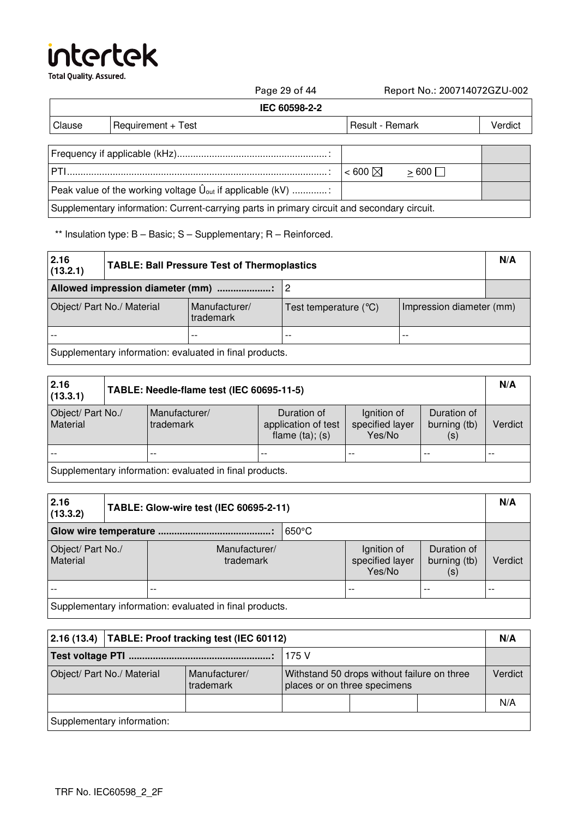**Total Quality. Assured.** 

| Report No.: 200714072GZU-002<br>Page 29 of 44 |                                                                      |                                      |         |  |  |
|-----------------------------------------------|----------------------------------------------------------------------|--------------------------------------|---------|--|--|
| IEC 60598-2-2                                 |                                                                      |                                      |         |  |  |
| Clause                                        | Requirement + Test                                                   | Result - Remark                      | Verdict |  |  |
|                                               |                                                                      |                                      |         |  |  |
|                                               |                                                                      |                                      |         |  |  |
| PTI                                           |                                                                      | $< 600$ $\boxtimes$<br>$>600$ $\Box$ |         |  |  |
|                                               | Peak value of the working voltage $\hat{U}_{out}$ if applicable (kV) |                                      |         |  |  |

Supplementary information: Current-carrying parts in primary circuit and secondary circuit.

\*\* Insulation type: B – Basic; S – Supplementary; R – Reinforced.

| 2.16<br>(13.2.1)                                        | <b>TABLE: Ball Pressure Test of Thermoplastics</b> |                            |                                |                          |  |
|---------------------------------------------------------|----------------------------------------------------|----------------------------|--------------------------------|--------------------------|--|
|                                                         |                                                    |                            |                                |                          |  |
| Object/ Part No./ Material                              |                                                    | Manufacturer/<br>trademark | Test temperature $(^{\circ}C)$ | Impression diameter (mm) |  |
|                                                         |                                                    | $- -$                      |                                | $- -$                    |  |
| Supplementary information: evaluated in final products. |                                                    |                            |                                |                          |  |

| 2.16<br>(13.3.1)                                                                            | TABLE: Needle-flame test (IEC 60695-11-5) |                            |                                                            |                                                                                           |  |         |
|---------------------------------------------------------------------------------------------|-------------------------------------------|----------------------------|------------------------------------------------------------|-------------------------------------------------------------------------------------------|--|---------|
| Object/ Part No./<br>Material                                                               |                                           | Manufacturer/<br>trademark | Duration of<br>application of test<br>flame $(ta)$ ; $(s)$ | Ignition of<br>Duration of<br>specified layer<br>burning (tb)<br>Yes/No<br>$(\mathsf{s})$ |  | Verdict |
|                                                                                             |                                           | $- -$                      |                                                            |                                                                                           |  | $- -$   |
| . Original a new container but a new attack is constructed by the all of the above above to |                                           |                            |                                                            |                                                                                           |  |         |

Supplementary information: evaluated in final products.

| 2.16<br>(13.3.2)              | TABLE: Glow-wire test (IEC 60695-2-11) |                            |  |                                          |                                               |         |
|-------------------------------|----------------------------------------|----------------------------|--|------------------------------------------|-----------------------------------------------|---------|
| $650^{\circ}$ C               |                                        |                            |  |                                          |                                               |         |
| Object/ Part No./<br>Material |                                        | Manufacturer/<br>trademark |  | Ignition of<br>specified layer<br>Yes/No | Duration of<br>burning (tb)<br>$(\mathsf{s})$ | Verdict |
|                               |                                        | $- -$                      |  |                                          |                                               |         |
|                               |                                        | .                          |  |                                          |                                               |         |

Supplementary information: evaluated in final products.

| $\vert$ 2.16 (13.4) $\vert$ TABLE: Proof tracking test (IEC 60112) |       |                                                                             |  | N/A |         |
|--------------------------------------------------------------------|-------|-----------------------------------------------------------------------------|--|-----|---------|
|                                                                    | 175 V |                                                                             |  |     |         |
| Object/ Part No./ Material<br>Manufacturer/<br>trademark           |       | Withstand 50 drops without failure on three<br>places or on three specimens |  |     | Verdict |
|                                                                    |       |                                                                             |  |     | N/A     |
| Supplementary information: -                                       |       |                                                                             |  |     |         |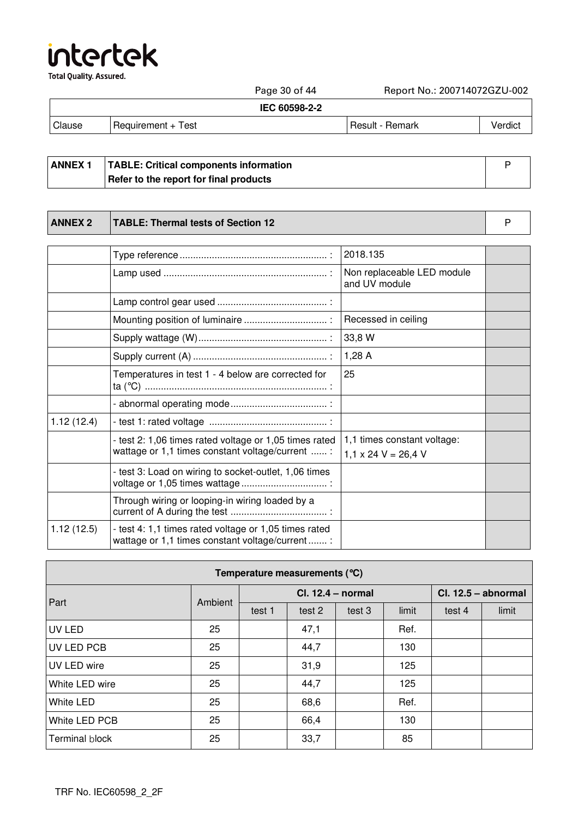**Total Quality. Assured.** 

Page 30 of 44 Report No.: 200714072GZU-002

#### **IEC 60598-2-2**

Clause | Requirement + Test Result - Result - Remark | Verdict

#### **ANNEX 1 TABLE: Critical components information Refer to the report for final products**  P

### **ANNEX 2 TABLE: Thermal tests of Section 12** P

|            |                                                                                                            | 2018.135                                                  |  |
|------------|------------------------------------------------------------------------------------------------------------|-----------------------------------------------------------|--|
|            |                                                                                                            | Non replaceable LED module<br>and UV module               |  |
|            |                                                                                                            |                                                           |  |
|            |                                                                                                            | Recessed in ceiling                                       |  |
|            |                                                                                                            | 33,8 W                                                    |  |
|            |                                                                                                            | 1,28A                                                     |  |
|            | Temperatures in test 1 - 4 below are corrected for                                                         | 25                                                        |  |
|            |                                                                                                            |                                                           |  |
| 1.12(12.4) |                                                                                                            |                                                           |  |
|            | - test 2: 1,06 times rated voltage or 1,05 times rated<br>wattage or 1,1 times constant voltage/current  : | 1,1 times constant voltage:<br>$1,1 \times 24$ V = 26,4 V |  |
|            | - test 3: Load on wiring to socket-outlet, 1,06 times                                                      |                                                           |  |
|            | Through wiring or looping-in wiring loaded by a                                                            |                                                           |  |
| 1.12(12.5) | - test 4: 1,1 times rated voltage or 1,05 times rated<br>wattage or 1,1 times constant voltage/current:    |                                                           |  |

| Temperature measurements (°C) |         |        |                   |        |       |                       |       |
|-------------------------------|---------|--------|-------------------|--------|-------|-----------------------|-------|
| Part                          | Ambient |        | Cl. 12.4 - normal |        |       | $Cl. 12.5 - abnormal$ |       |
|                               |         | test 1 | test 2            | test 3 | limit | test 4                | limit |
| UV LED                        | 25      |        | 47,1              |        | Ref.  |                       |       |
| UV LED PCB                    | 25      |        | 44,7              |        | 130   |                       |       |
| UV LED wire                   | 25      |        | 31,9              |        | 125   |                       |       |
| White LED wire                | 25      |        | 44,7              |        | 125   |                       |       |
| White LED                     | 25      |        | 68,6              |        | Ref.  |                       |       |
| White LED PCB                 | 25      |        | 66,4              |        | 130   |                       |       |
| Terminal block                | 25      |        | 33,7              |        | 85    |                       |       |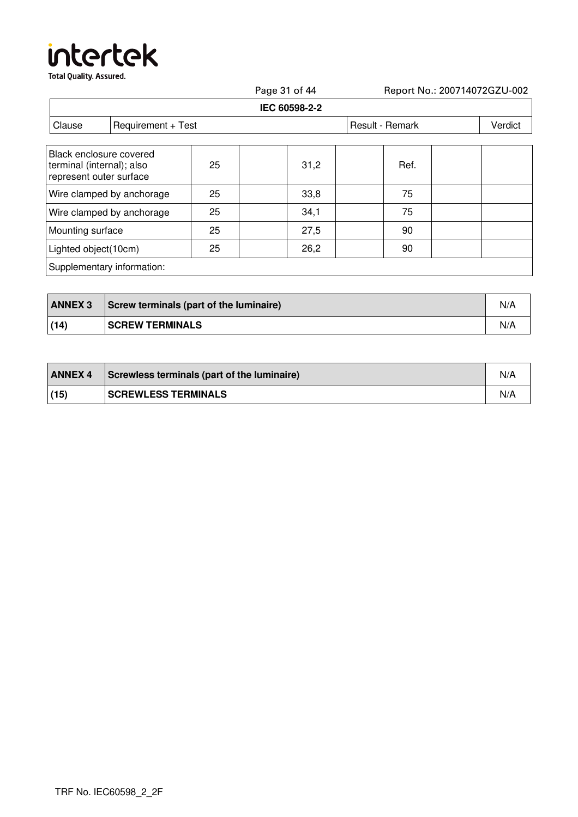**Total Quality. Assured.** 

|                                                                                 |                              | Page 31 of 44 |  |      |  |                 | Report No.: 200714072GZU-002 |         |
|---------------------------------------------------------------------------------|------------------------------|---------------|--|------|--|-----------------|------------------------------|---------|
| IEC 60598-2-2                                                                   |                              |               |  |      |  |                 |                              |         |
| Clause                                                                          | Requirement + Test           |               |  |      |  | Result - Remark |                              | Verdict |
|                                                                                 |                              |               |  |      |  |                 |                              |         |
| Black enclosure covered<br>terminal (internal); also<br>represent outer surface |                              | 25            |  | 31,2 |  | Ref.            |                              |         |
| Wire clamped by anchorage                                                       |                              | 25            |  | 33,8 |  | 75              |                              |         |
| Wire clamped by anchorage                                                       |                              | 25            |  | 34,1 |  | 75              |                              |         |
| Mounting surface                                                                |                              | 25            |  | 27,5 |  | 90              |                              |         |
| Lighted object(10cm)                                                            |                              | 25            |  | 26,2 |  | 90              |                              |         |
|                                                                                 | Supplementary information: - |               |  |      |  |                 |                              |         |
|                                                                                 |                              |               |  |      |  |                 |                              |         |

| <b>ANNEX 3</b> | Screw terminals (part of the luminaire) | N/A |
|----------------|-----------------------------------------|-----|
| (14)           | <b>SCREW TERMINALS</b>                  | N/A |

| <b>ANNEX 4</b> | Screwless terminals (part of the luminaire) | N/A |
|----------------|---------------------------------------------|-----|
| (15)           | <b>SCREWLESS TERMINALS</b>                  | N/A |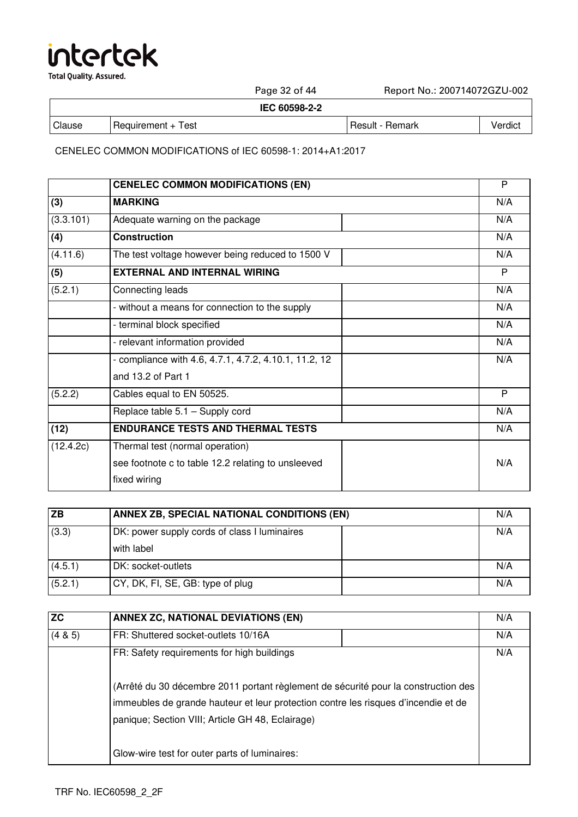**Total Quality. Assured.** 

 $\overline{\Gamma}$ 

Page 32 of 44 Report No.: 200714072GZU-002

| IEC 60598-2-2 |  |
|---------------|--|
|---------------|--|

|        | א-גרטט טשוב        |                  |         |
|--------|--------------------|------------------|---------|
| Clause | est<br>Requirement | Result<br>Remark | Verdict |

### CENELEC COMMON MODIFICATIONS of IEC 60598-1: 2014+A1:2017

|           | <b>CENELEC COMMON MODIFICATIONS (EN)</b>              |     |  |  |  |  |
|-----------|-------------------------------------------------------|-----|--|--|--|--|
| (3)       | <b>MARKING</b>                                        |     |  |  |  |  |
| (3.3.101) | Adequate warning on the package                       |     |  |  |  |  |
| (4)       | Construction                                          | N/A |  |  |  |  |
| (4.11.6)  | The test voltage however being reduced to 1500 V      | N/A |  |  |  |  |
| (5)       | <b>EXTERNAL AND INTERNAL WIRING</b>                   |     |  |  |  |  |
| (5.2.1)   | Connecting leads                                      | N/A |  |  |  |  |
|           | - without a means for connection to the supply        | N/A |  |  |  |  |
|           | - terminal block specified                            |     |  |  |  |  |
|           | - relevant information provided                       | N/A |  |  |  |  |
|           | - compliance with 4.6, 4.7.1, 4.7.2, 4.10.1, 11.2, 12 | N/A |  |  |  |  |
|           | and 13.2 of Part 1                                    |     |  |  |  |  |
| (5.2.2)   | Cables equal to EN 50525.                             | P   |  |  |  |  |
|           | Replace table 5.1 - Supply cord                       | N/A |  |  |  |  |
| (12)      | <b>ENDURANCE TESTS AND THERMAL TESTS</b>              | N/A |  |  |  |  |
| (12.4.2c) | Thermal test (normal operation)                       |     |  |  |  |  |
|           | see footnote c to table 12.2 relating to unsleeved    | N/A |  |  |  |  |
|           | fixed wiring                                          |     |  |  |  |  |

| <b>ZB</b> | ANNEX ZB, SPECIAL NATIONAL CONDITIONS (EN)   |     |  |  |  |  |
|-----------|----------------------------------------------|-----|--|--|--|--|
| (3.3)     | DK: power supply cords of class I luminaires |     |  |  |  |  |
|           | with label                                   |     |  |  |  |  |
| (4.5.1)   | DK: socket-outlets                           | N/A |  |  |  |  |
| (5.2.1)   | CY, DK, FI, SE, GB: type of plug             | N/A |  |  |  |  |

| $\overline{z}$ | <b>ANNEX ZC, NATIONAL DEVIATIONS (EN)</b>                                                                                                                                                                                    |     |  |  |  |  |  |
|----------------|------------------------------------------------------------------------------------------------------------------------------------------------------------------------------------------------------------------------------|-----|--|--|--|--|--|
| (4 & 5)        | FR: Shuttered socket-outlets 10/16A                                                                                                                                                                                          |     |  |  |  |  |  |
|                | FR: Safety requirements for high buildings                                                                                                                                                                                   | N/A |  |  |  |  |  |
|                | (Arrêté du 30 décembre 2011 portant règlement de sécurité pour la construction des<br>immeubles de grande hauteur et leur protection contre les risques d'incendie et de<br>panique; Section VIII; Article GH 48, Eclairage) |     |  |  |  |  |  |
|                | Glow-wire test for outer parts of luminaires:                                                                                                                                                                                |     |  |  |  |  |  |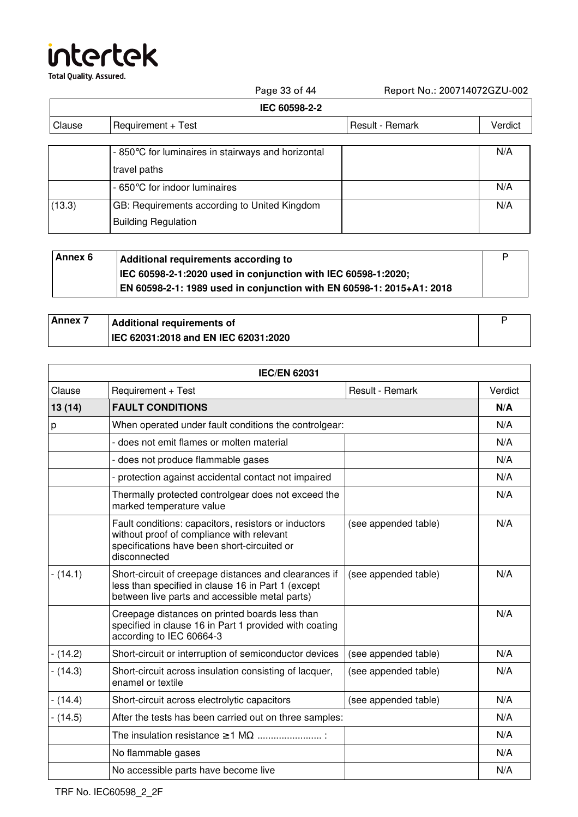**Total Quality. Assured.** 

## Page 33 of 44 Report No.: 200714072GZU-002 **IEC 60598-2-2**  Clause | Requirement + Test Result - Result - Remark | Verdict - 850°C for luminaires in stairways and horizontal travel paths N/A

|        | - 650°C for indoor luminaires                | N/A |
|--------|----------------------------------------------|-----|
| (13.3) | GB: Requirements according to United Kingdom | N/A |
|        | <b>Building Regulation</b>                   |     |
|        |                                              |     |

| Annex 6 | Additional requirements according to                                  |  |
|---------|-----------------------------------------------------------------------|--|
|         | IEC 60598-2-1:2020 used in conjunction with IEC 60598-1:2020;         |  |
|         | EN 60598-2-1: 1989 used in conjunction with EN 60598-1: 2015+A1: 2018 |  |

| Annex 7 | Additional requirements of           |  |
|---------|--------------------------------------|--|
|         | IEC 62031:2018 and EN IEC 62031:2020 |  |

| <b>IEC/EN 62031</b> |                                                                                                                                                                  |                      |         |  |  |  |  |
|---------------------|------------------------------------------------------------------------------------------------------------------------------------------------------------------|----------------------|---------|--|--|--|--|
| Clause              | Requirement + Test                                                                                                                                               | Result - Remark      | Verdict |  |  |  |  |
| 13(14)              | <b>FAULT CONDITIONS</b>                                                                                                                                          |                      | N/A     |  |  |  |  |
| p                   | When operated under fault conditions the controlgear:                                                                                                            |                      | N/A     |  |  |  |  |
|                     | - does not emit flames or molten material                                                                                                                        |                      | N/A     |  |  |  |  |
|                     | - does not produce flammable gases                                                                                                                               |                      | N/A     |  |  |  |  |
|                     | - protection against accidental contact not impaired                                                                                                             |                      | N/A     |  |  |  |  |
|                     | Thermally protected controlgear does not exceed the<br>marked temperature value                                                                                  |                      |         |  |  |  |  |
|                     | Fault conditions: capacitors, resistors or inductors<br>without proof of compliance with relevant<br>specifications have been short-circuited or<br>disconnected | (see appended table) | N/A     |  |  |  |  |
| $- (14.1)$          | Short-circuit of creepage distances and clearances if<br>less than specified in clause 16 in Part 1 (except<br>between live parts and accessible metal parts)    | (see appended table) | N/A     |  |  |  |  |
|                     | Creepage distances on printed boards less than<br>specified in clause 16 in Part 1 provided with coating<br>according to IEC 60664-3                             |                      | N/A     |  |  |  |  |
| $- (14.2)$          | Short-circuit or interruption of semiconductor devices                                                                                                           | (see appended table) | N/A     |  |  |  |  |
| $- (14.3)$          | Short-circuit across insulation consisting of lacquer,<br>enamel or textile                                                                                      | (see appended table) | N/A     |  |  |  |  |
| $- (14.4)$          | Short-circuit across electrolytic capacitors                                                                                                                     | (see appended table) | N/A     |  |  |  |  |
| $- (14.5)$          | After the tests has been carried out on three samples:                                                                                                           |                      | N/A     |  |  |  |  |
|                     | The insulation resistance $\geq 1$ M $\Omega$                                                                                                                    |                      | N/A     |  |  |  |  |
|                     | No flammable gases                                                                                                                                               |                      | N/A     |  |  |  |  |
|                     | No accessible parts have become live                                                                                                                             |                      | N/A     |  |  |  |  |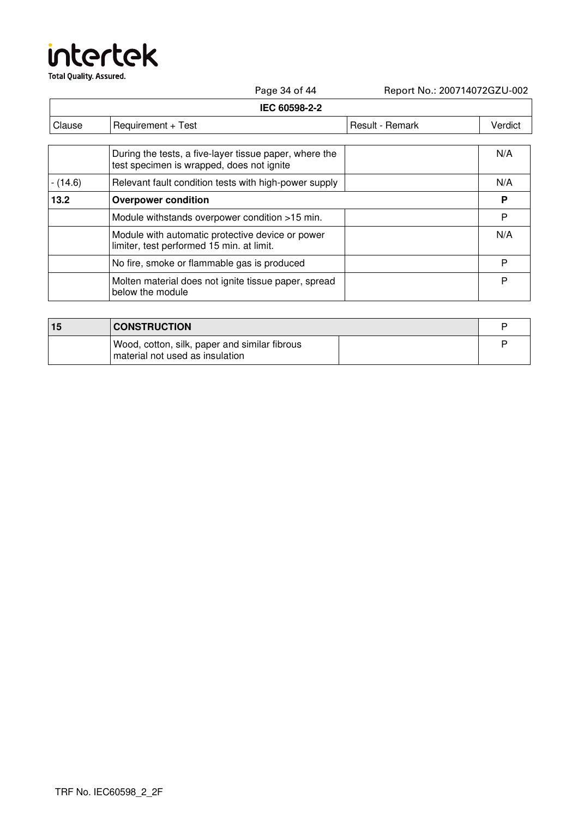below the module

**Total Quality. Assured.** 

Page 34 of 44 Report No.: 200714072GZU-002

|            | ו∟שטטע ש∟ו                                                                                          |                 |         |  |  |  |
|------------|-----------------------------------------------------------------------------------------------------|-----------------|---------|--|--|--|
| Clause     | Requirement + Test                                                                                  | Result - Remark | Verdict |  |  |  |
|            |                                                                                                     |                 |         |  |  |  |
|            | During the tests, a five-layer tissue paper, where the<br>test specimen is wrapped, does not ignite |                 | N/A     |  |  |  |
| $- (14.6)$ | Relevant fault condition tests with high-power supply                                               |                 | N/A     |  |  |  |
| 13.2       | <b>Overpower condition</b>                                                                          |                 | P       |  |  |  |
|            | Module withstands overpower condition >15 min.                                                      |                 | P       |  |  |  |
|            | Module with automatic protective device or power<br>limiter, test performed 15 min. at limit.       |                 | N/A     |  |  |  |
|            | No fire, smoke or flammable gas is produced                                                         |                 | P       |  |  |  |
|            | Molten material does not ignite tissue paper, spread                                                |                 | P       |  |  |  |

| 15 | <b>CONSTRUCTION</b>                                                              |  |  |  |  |  |
|----|----------------------------------------------------------------------------------|--|--|--|--|--|
|    | Wood, cotton, silk, paper and similar fibrous<br>material not used as insulation |  |  |  |  |  |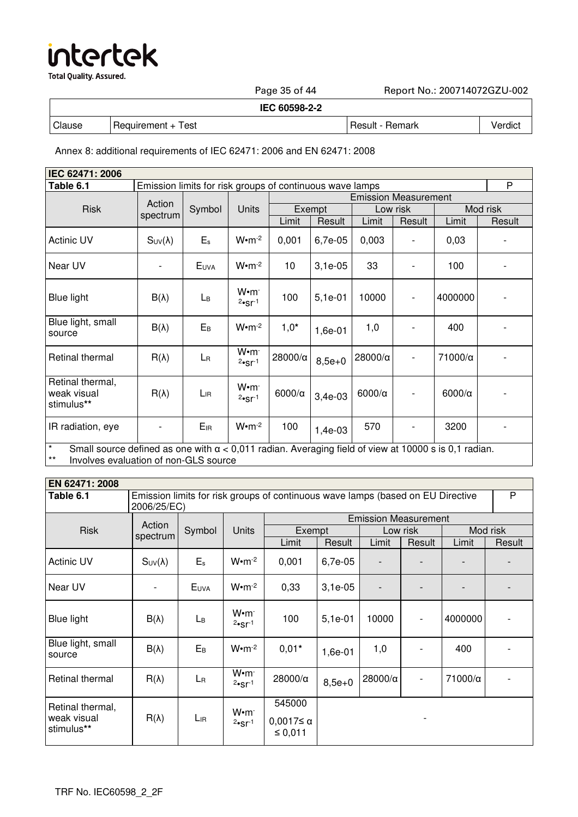**Total Quality. Assured.** 

Page 35 of 44 Report No.: 200714072GZU-002

**IEC 60598-2-2** 

| Clause | Requirement + Test |
|--------|--------------------|

Result - Remark <sup>Verdict</sup>

### Annex 8: additional requirements of IEC 62471: 2006 and EN 62471: 2008

| IEC 62471: 2006                                                                                                                                                          |                   |                                                               |                           |                             |           |                |                          |                |          |
|--------------------------------------------------------------------------------------------------------------------------------------------------------------------------|-------------------|---------------------------------------------------------------|---------------------------|-----------------------------|-----------|----------------|--------------------------|----------------|----------|
| Table 6.1                                                                                                                                                                |                   | P<br>Emission limits for risk groups of continuous wave lamps |                           |                             |           |                |                          |                |          |
|                                                                                                                                                                          | Action            |                                                               |                           | <b>Emission Measurement</b> |           |                |                          |                |          |
| <b>Risk</b>                                                                                                                                                              | spectrum          | Symbol                                                        | <b>Units</b>              |                             | Exempt    |                | Low risk                 |                | Mod risk |
|                                                                                                                                                                          |                   |                                                               |                           | Limit                       | Result    | Limit          | Result                   | Limit          | Result   |
| <b>Actinic UV</b>                                                                                                                                                        | $S_{UV}(\lambda)$ | $E_s$                                                         | $W \cdot m^{-2}$          | 0,001                       | 6,7e-05   | 0,003          | $\overline{\phantom{a}}$ | 0,03           |          |
| Near UV                                                                                                                                                                  |                   | EUVA                                                          | $W \cdot m^{-2}$          | 10                          | $3,1e-05$ | 33             |                          | 100            |          |
| <b>Blue light</b>                                                                                                                                                        | $B(\lambda)$      | $L_B$                                                         | W•m·<br>$2 \cdot sr^{-1}$ | 100                         | $5,1e-01$ | 10000          |                          | 4000000        |          |
| Blue light, small<br>source                                                                                                                                              | $B(\lambda)$      | Eв                                                            | $W \cdot m^{-2}$          | $1,0^*$                     | 1,6e-01   | 1,0            | $\overline{\phantom{a}}$ | 400            |          |
| Retinal thermal                                                                                                                                                          | $R(\lambda)$      | $L_{R}$                                                       | W•m<br>$2 \cdot sr^{-1}$  | $28000/\alpha$              | $8,5e+0$  | $28000/\alpha$ |                          | $71000/\alpha$ |          |
| Retinal thermal,<br>weak visual<br>stimulus**                                                                                                                            | $R(\lambda)$      | $L_{IR}$                                                      | W•m<br>$2 \cdot sr^{-1}$  | $6000/\alpha$               | 3,4e-03   | $6000/\alpha$  |                          | $6000/\alpha$  |          |
| IR radiation, eye                                                                                                                                                        |                   | $E_{IR}$                                                      | $W \cdot m^{-2}$          | 100                         | 1,4e-03   | 570            |                          | 3200           |          |
| $\star$<br>Small source defined as one with $\alpha$ < 0,011 radian. Averaging field of view at 10000 s is 0,1 radian.<br>$***$<br>Involves evaluation of non-GLS source |                   |                                                               |                           |                             |           |                |                          |                |          |

| EN 62471: 2008              |                                                                                                |          |                                  |                        |           |                             |                |         |          |
|-----------------------------|------------------------------------------------------------------------------------------------|----------|----------------------------------|------------------------|-----------|-----------------------------|----------------|---------|----------|
| Table 6.1                   | Emission limits for risk groups of continuous wave lamps (based on EU Directive<br>2006/25/EC) |          |                                  |                        |           |                             |                |         | P        |
|                             | Action                                                                                         |          |                                  |                        |           | <b>Emission Measurement</b> |                |         |          |
| <b>Risk</b>                 | spectrum                                                                                       | Symbol   | <b>Units</b>                     | Exempt                 |           |                             | Low risk       |         | Mod risk |
|                             |                                                                                                |          |                                  | Limit                  | Result    | Limit                       | Result         | Limit   | Result   |
| <b>Actinic UV</b>           | $S_{UV}(\lambda)$                                                                              | $E_{s}$  | $W \cdot m^{-2}$                 | 0,001                  | 6,7e-05   | $\overline{\phantom{a}}$    |                |         |          |
| Near UV                     |                                                                                                | EUVA     | $W \cdot m^{-2}$                 | 0,33                   | $3,1e-05$ | $\overline{\phantom{a}}$    |                |         |          |
| Blue light                  | $B(\lambda)$                                                                                   | Lв       | W•m·<br>$2 \cdot sr^{-1}$        | 100                    | $5,1e-01$ | 10000                       |                | 4000000 |          |
| Blue light, small<br>source | $B(\lambda)$                                                                                   | Eв       | $W \cdot m^{-2}$                 | $0,01*$                | 1,6e-01   | 1,0                         |                | 400     |          |
| Retinal thermal             | $R(\lambda)$                                                                                   | LR       | $W \cdot m$<br>$2 \cdot sr^{-1}$ | 28000/a                | $8,5e+0$  | 28000/a                     | $\overline{a}$ | 71000/α |          |
| Retinal thermal,            |                                                                                                |          |                                  | 545000                 |           |                             |                |         |          |
| weak visual<br>stimulus**   | $R(\lambda)$                                                                                   | $L_{IR}$ | W•m<br>$2 \cdot sr^{-1}$         | $0,0017≤$ α<br>≤ 0,011 |           |                             |                |         |          |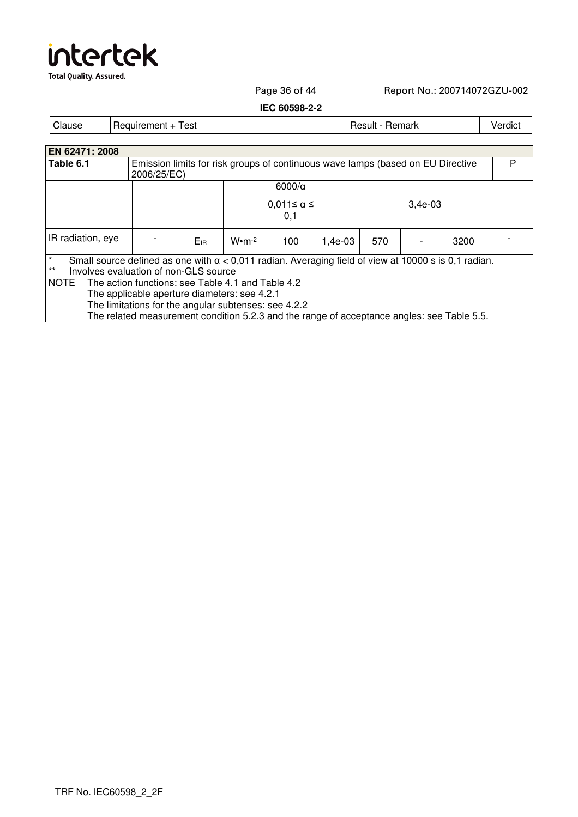**Total Quality. Assured.** 

Page 36 of 44 Report No.: 200714072GZU-002

| IEC 60598-2-2 |                    |  |                 |         |  |  |  |  |
|---------------|--------------------|--|-----------------|---------|--|--|--|--|
| Clause        | Requirement + Test |  | Result - Remark | Verdict |  |  |  |  |

| EN 62471: 2008                                                                                                                                                                                                                                                                                                                                                                                                                                     |                                                                                                |          |                  |                                 |           |     |  |      |  |  |  |
|----------------------------------------------------------------------------------------------------------------------------------------------------------------------------------------------------------------------------------------------------------------------------------------------------------------------------------------------------------------------------------------------------------------------------------------------------|------------------------------------------------------------------------------------------------|----------|------------------|---------------------------------|-----------|-----|--|------|--|--|--|
| Table 6.1                                                                                                                                                                                                                                                                                                                                                                                                                                          | Emission limits for risk groups of continuous wave lamps (based on EU Directive<br>2006/25/EC) |          |                  |                                 |           |     |  |      |  |  |  |
|                                                                                                                                                                                                                                                                                                                                                                                                                                                    |                                                                                                |          |                  | $6000/\alpha$                   |           |     |  |      |  |  |  |
|                                                                                                                                                                                                                                                                                                                                                                                                                                                    |                                                                                                |          |                  | $0.011 \leq \alpha \leq$<br>0,1 | $3,4e-03$ |     |  |      |  |  |  |
| IR radiation, eye                                                                                                                                                                                                                                                                                                                                                                                                                                  |                                                                                                | $E_{IR}$ | $W \cdot m^{-2}$ | 100                             | $1,4e-03$ | 570 |  | 3200 |  |  |  |
| $\star$<br>Small source defined as one with $\alpha$ < 0,011 radian. Averaging field of view at 10000 s is 0,1 radian.<br>$***$<br>Involves evaluation of non-GLS source<br><b>NOTE</b><br>The action functions: see Table 4.1 and Table 4.2<br>The applicable aperture diameters: see 4.2.1<br>The limitations for the angular subtenses: see 4.2.2<br>The related measurement condition 5.2.3 and the range of acceptance angles: see Table 5.5. |                                                                                                |          |                  |                                 |           |     |  |      |  |  |  |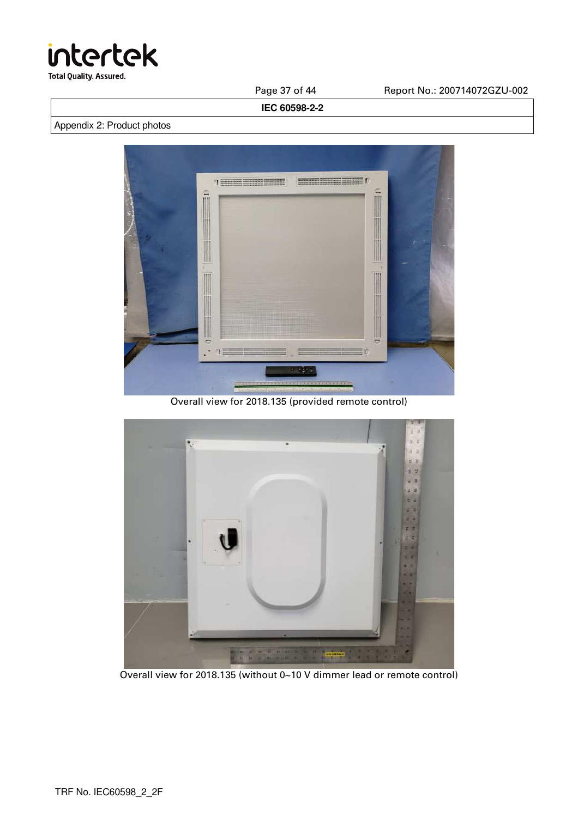

Page 37 of 44 Report No.: 200714072GZU-002

#### **IEC 60598-2-2**

Appendix 2: Product photos



Overall view for 2018.135 (provided remote control)



Overall view for 2018.135 (without 0~10 V dimmer lead or remote control)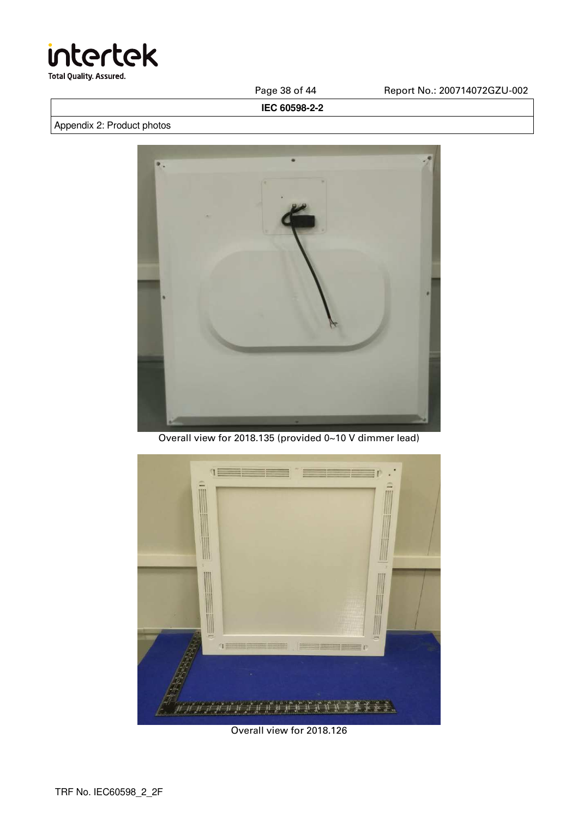

Page 38 of 44 Report No.: 200714072GZU-002

### **IEC 60598-2-2**

Appendix 2: Product photos



Overall view for 2018.135 (provided 0~10 V dimmer lead)



Overall view for 2018.126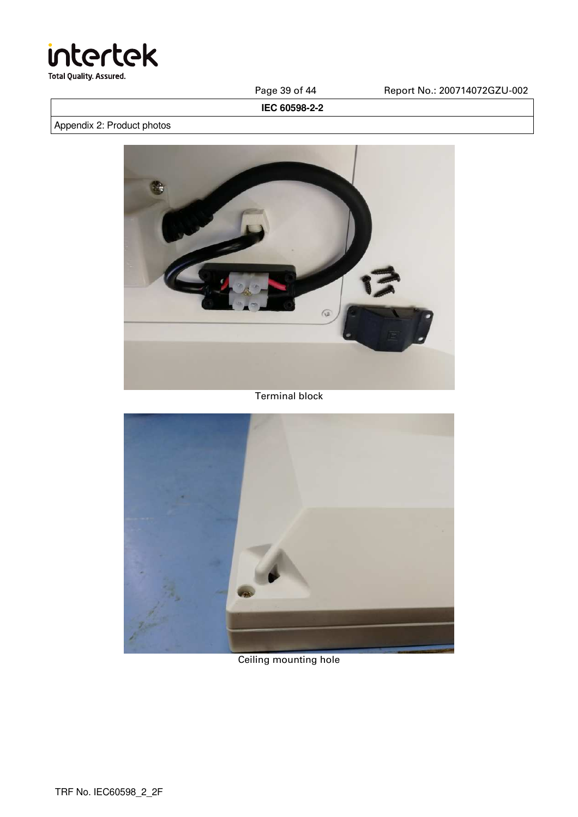

Page 39 of 44 Report No.: 200714072GZU-002

#### **IEC 60598-2-2**

Appendix 2: Product photos



Terminal block



### Ceiling mounting hole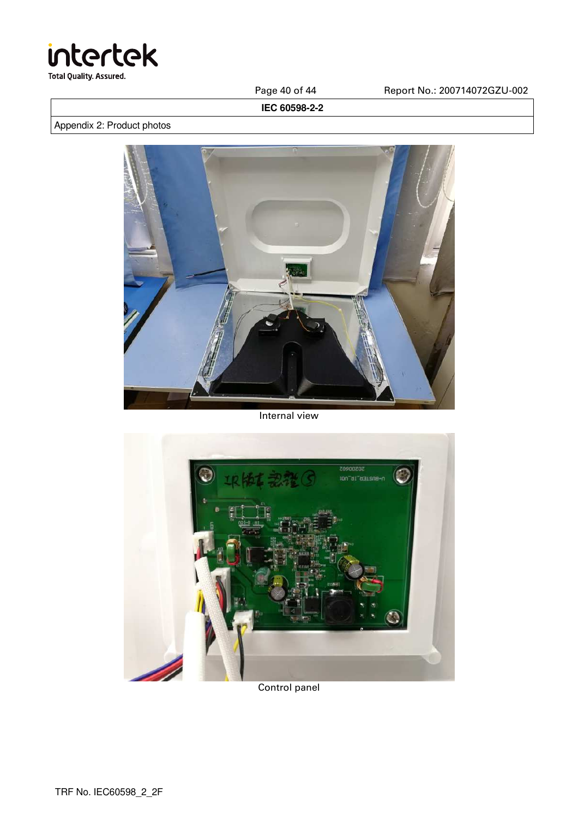

Page 40 of 44 Report No.: 200714072GZU-002

### **IEC 60598-2-2**

Appendix 2: Product photos



### Internal view



Control panel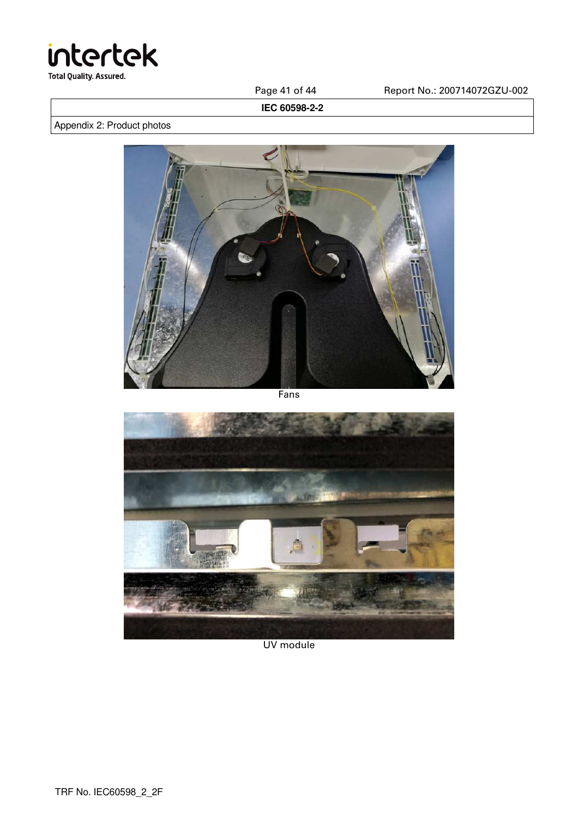

Page 41 of 44 Report No.: 200714072GZU-002

### **IEC 60598-2-2**

Appendix 2: Product photos



Fans



UV module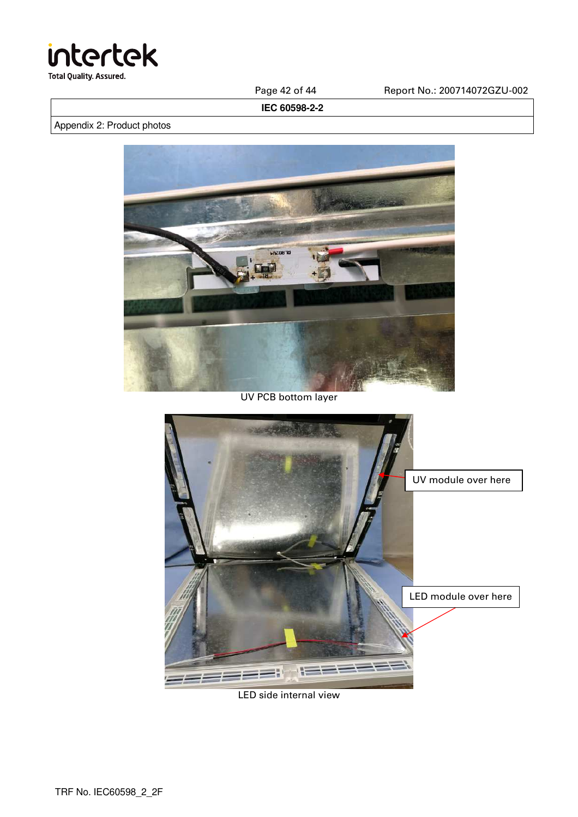

Page 42 of 44 Report No.: 200714072GZU-002

### **IEC 60598-2-2**

Appendix 2: Product photos



UV PCB bottom layer



LED side internal view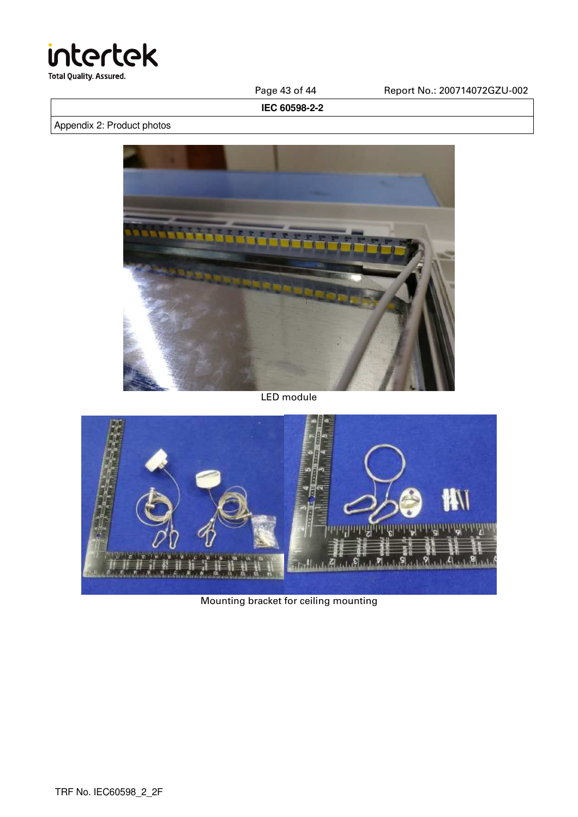

Page 43 of 44 Report No.: 200714072GZU-002

#### **IEC 60598-2-2**

Appendix 2: Product photos



LED module



Mounting bracket for ceiling mounting